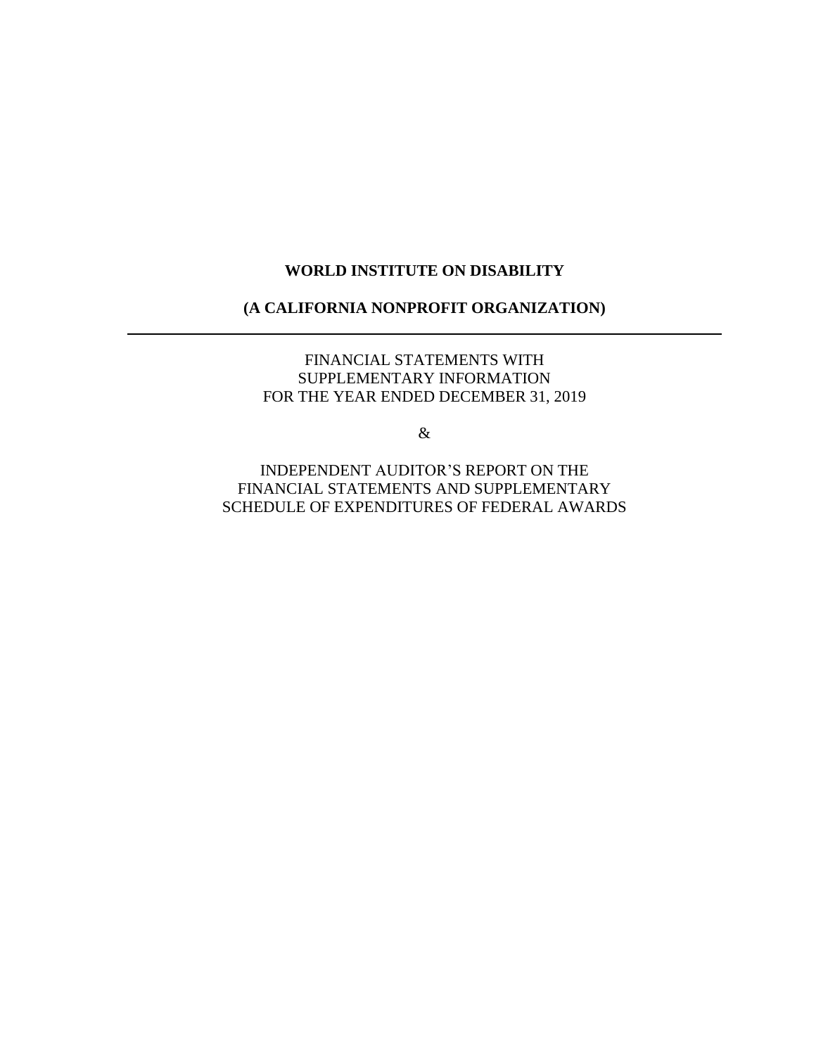#### **WORLD INSTITUTE ON DISABILITY**

## **(A CALIFORNIA NONPROFIT ORGANIZATION)**

FINANCIAL STATEMENTS WITH SUPPLEMENTARY INFORMATION FOR THE YEAR ENDED DECEMBER 31, 2019

&

INDEPENDENT AUDITOR'S REPORT ON THE FINANCIAL STATEMENTS AND SUPPLEMENTARY SCHEDULE OF EXPENDITURES OF FEDERAL AWARDS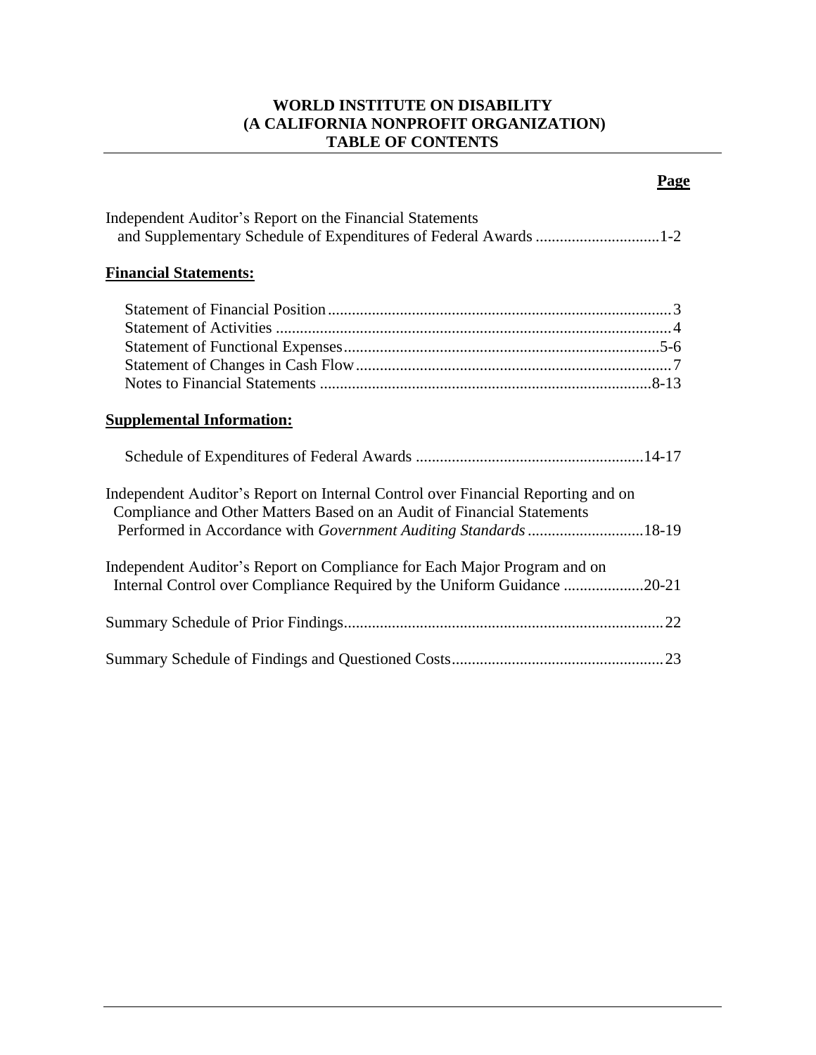## **WORLD INSTITUTE ON DISABILITY (A CALIFORNIA NONPROFIT ORGANIZATION) TABLE OF CONTENTS**

## **Page**

| Independent Auditor's Report on the Financial Statements<br>and Supplementary Schedule of Expenditures of Federal Awards 1-2                               |
|------------------------------------------------------------------------------------------------------------------------------------------------------------|
| <b>Financial Statements:</b>                                                                                                                               |
|                                                                                                                                                            |
|                                                                                                                                                            |
|                                                                                                                                                            |
|                                                                                                                                                            |
|                                                                                                                                                            |
| <b>Supplemental Information:</b>                                                                                                                           |
|                                                                                                                                                            |
| Independent Auditor's Report on Internal Control over Financial Reporting and on<br>Compliance and Other Matters Based on an Audit of Financial Statements |
| Performed in Accordance with Government Auditing Standards 18-19                                                                                           |
| Independent Auditor's Report on Compliance for Each Major Program and on<br>Internal Control over Compliance Required by the Uniform Guidance 20-21        |
|                                                                                                                                                            |
|                                                                                                                                                            |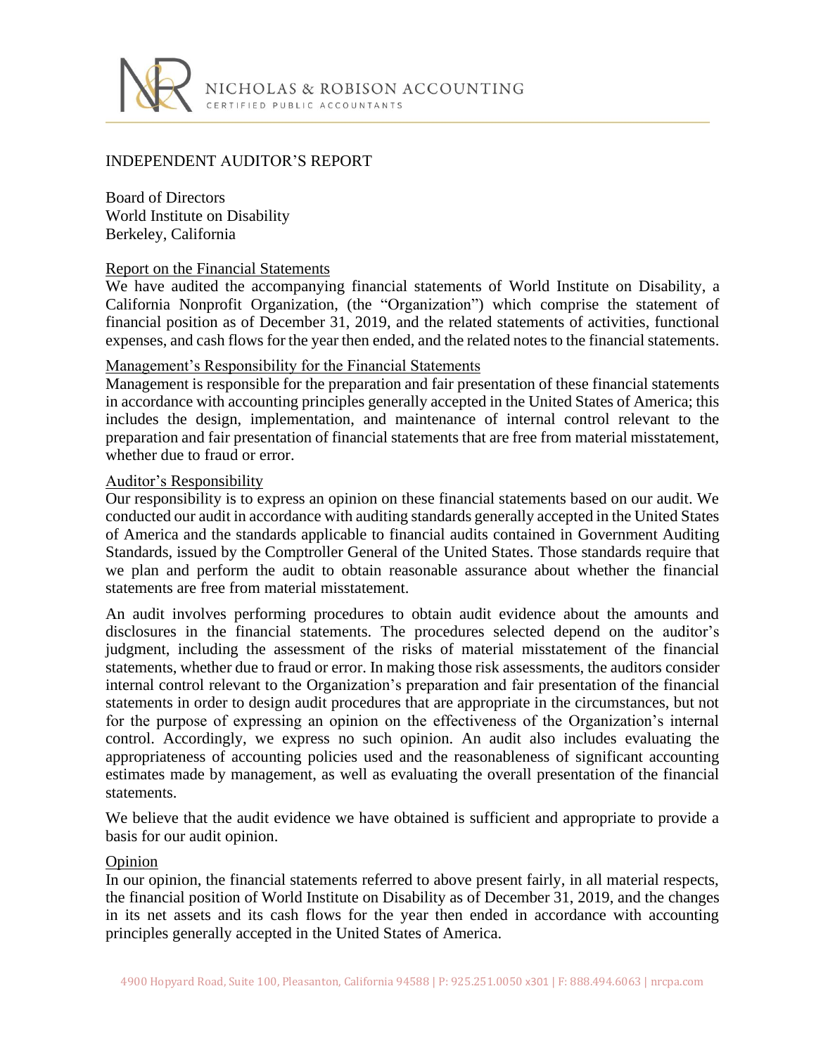

#### INDEPENDENT AUDITOR'S REPORT

Board of Directors World Institute on Disability Berkeley, California

#### Report on the Financial Statements

We have audited the accompanying financial statements of World Institute on Disability, a California Nonprofit Organization, (the "Organization") which comprise the statement of financial position as of December 31, 2019, and the related statements of activities, functional expenses, and cash flows for the year then ended, and the related notes to the financial statements.

#### Management's Responsibility for the Financial Statements

Management is responsible for the preparation and fair presentation of these financial statements in accordance with accounting principles generally accepted in the United States of America; this includes the design, implementation, and maintenance of internal control relevant to the preparation and fair presentation of financial statements that are free from material misstatement, whether due to fraud or error.

#### Auditor's Responsibility

Our responsibility is to express an opinion on these financial statements based on our audit. We conducted our audit in accordance with auditing standards generally accepted in the United States of America and the standards applicable to financial audits contained in Government Auditing Standards, issued by the Comptroller General of the United States. Those standards require that we plan and perform the audit to obtain reasonable assurance about whether the financial statements are free from material misstatement.

An audit involves performing procedures to obtain audit evidence about the amounts and disclosures in the financial statements. The procedures selected depend on the auditor's judgment, including the assessment of the risks of material misstatement of the financial statements, whether due to fraud or error. In making those risk assessments, the auditors consider internal control relevant to the Organization's preparation and fair presentation of the financial statements in order to design audit procedures that are appropriate in the circumstances, but not for the purpose of expressing an opinion on the effectiveness of the Organization's internal control. Accordingly, we express no such opinion. An audit also includes evaluating the appropriateness of accounting policies used and the reasonableness of significant accounting estimates made by management, as well as evaluating the overall presentation of the financial statements.

We believe that the audit evidence we have obtained is sufficient and appropriate to provide a basis for our audit opinion.

#### **Opinion**

In our opinion, the financial statements referred to above present fairly, in all material respects, the financial position of World Institute on Disability as of December 31, 2019, and the changes in its net assets and its cash flows for the year then ended in accordance with accounting principles generally accepted in the United States of America.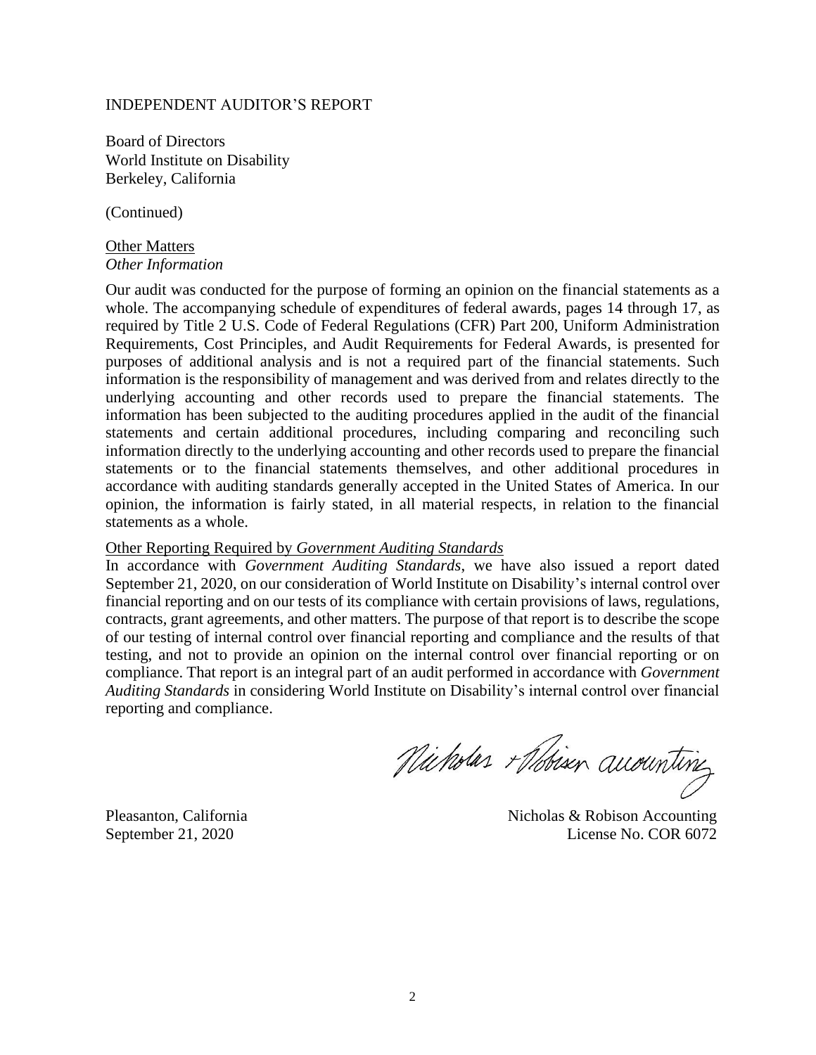#### INDEPENDENT AUDITOR'S REPORT

Board of Directors World Institute on Disability Berkeley, California

(Continued)

#### Other Matters *Other Information*

Our audit was conducted for the purpose of forming an opinion on the financial statements as a whole. The accompanying schedule of expenditures of federal awards, pages 14 through 17, as required by Title 2 U.S. Code of Federal Regulations (CFR) Part 200, Uniform Administration Requirements, Cost Principles, and Audit Requirements for Federal Awards, is presented for purposes of additional analysis and is not a required part of the financial statements. Such information is the responsibility of management and was derived from and relates directly to the underlying accounting and other records used to prepare the financial statements. The information has been subjected to the auditing procedures applied in the audit of the financial statements and certain additional procedures, including comparing and reconciling such information directly to the underlying accounting and other records used to prepare the financial statements or to the financial statements themselves, and other additional procedures in accordance with auditing standards generally accepted in the United States of America. In our opinion, the information is fairly stated, in all material respects, in relation to the financial statements as a whole.

#### Other Reporting Required by *Government Auditing Standards*

In accordance with *Government Auditing Standards*, we have also issued a report dated September 21, 2020, on our consideration of World Institute on Disability's internal control over financial reporting and on our tests of its compliance with certain provisions of laws, regulations, contracts, grant agreements, and other matters. The purpose of that report is to describe the scope of our testing of internal control over financial reporting and compliance and the results of that testing, and not to provide an opinion on the internal control over financial reporting or on compliance. That report is an integral part of an audit performed in accordance with *Government Auditing Standards* in considering World Institute on Disability's internal control over financial reporting and compliance.

Victorias + Nobiser aucunting

Pleasanton, California  $\blacksquare$  Nicholas & Robison Accounting September 21, 2020 License No. COR 6072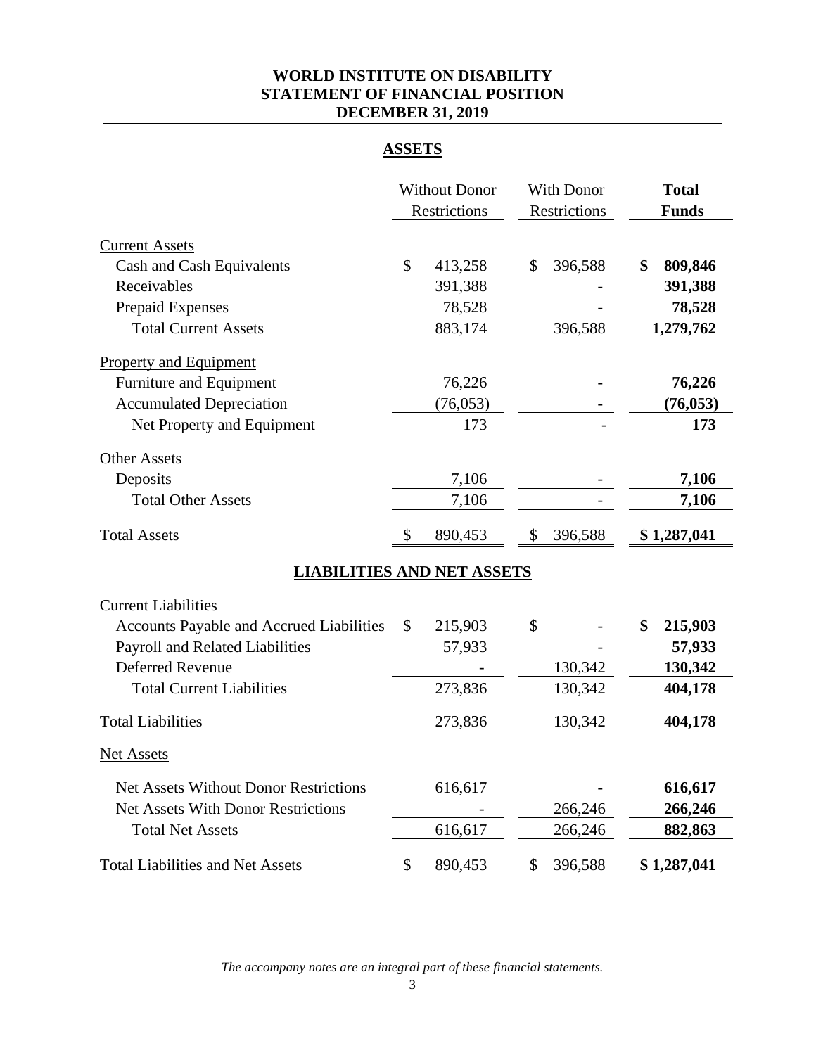## **WORLD INSTITUTE ON DISABILITY STATEMENT OF FINANCIAL POSITION DECEMBER 31, 2019**

## **ASSETS**

|                                                 |              | <b>Without Donor</b><br>Restrictions |    | With Donor<br>Restrictions | <b>Total</b><br><b>Funds</b> |
|-------------------------------------------------|--------------|--------------------------------------|----|----------------------------|------------------------------|
| <b>Current Assets</b>                           |              |                                      |    |                            |                              |
| Cash and Cash Equivalents                       | \$           | 413,258                              | \$ | 396,588                    | \$<br>809,846                |
| Receivables                                     |              | 391,388                              |    |                            | 391,388                      |
| Prepaid Expenses                                |              | 78,528                               |    |                            | 78,528                       |
| <b>Total Current Assets</b>                     |              | 883,174                              |    | 396,588                    | 1,279,762                    |
| <b>Property and Equipment</b>                   |              |                                      |    |                            |                              |
| Furniture and Equipment                         |              | 76,226                               |    |                            | 76,226                       |
| <b>Accumulated Depreciation</b>                 |              | (76, 053)                            |    |                            | (76, 053)                    |
| Net Property and Equipment                      |              | 173                                  |    |                            | 173                          |
| <b>Other Assets</b>                             |              |                                      |    |                            |                              |
| Deposits                                        |              | 7,106                                |    |                            | 7,106                        |
| <b>Total Other Assets</b>                       |              | 7,106                                |    |                            | 7,106                        |
| <b>Total Assets</b>                             | \$           | 890,453                              | \$ | 396,588                    | \$1,287,041                  |
| <b>LIABILITIES AND NET ASSETS</b>               |              |                                      |    |                            |                              |
| <b>Current Liabilities</b>                      |              |                                      |    |                            |                              |
| <b>Accounts Payable and Accrued Liabilities</b> | $\mathbb{S}$ | 215,903                              | \$ |                            | \$<br>215,903                |
| Payroll and Related Liabilities                 |              | 57,933                               |    |                            | 57,933                       |
| <b>Deferred Revenue</b>                         |              |                                      |    | 130,342                    | 130,342                      |
| <b>Total Current Liabilities</b>                |              | 273,836                              |    | 130,342                    | 404,178                      |
| <b>Total Liabilities</b>                        |              | 273,836                              |    | 130,342                    | 404,178                      |
| <b>Net Assets</b>                               |              |                                      |    |                            |                              |
| <b>Net Assets Without Donor Restrictions</b>    |              | 616,617                              |    |                            | 616,617                      |
| <b>Net Assets With Donor Restrictions</b>       |              |                                      |    | 266,246                    | 266,246                      |
| <b>Total Net Assets</b>                         |              | 616,617                              |    | 266,246                    | 882,863                      |
| <b>Total Liabilities and Net Assets</b>         | \$           | 890,453                              | \$ | 396,588                    | \$1,287,041                  |

*The accompany notes are an integral part of these financial statements.*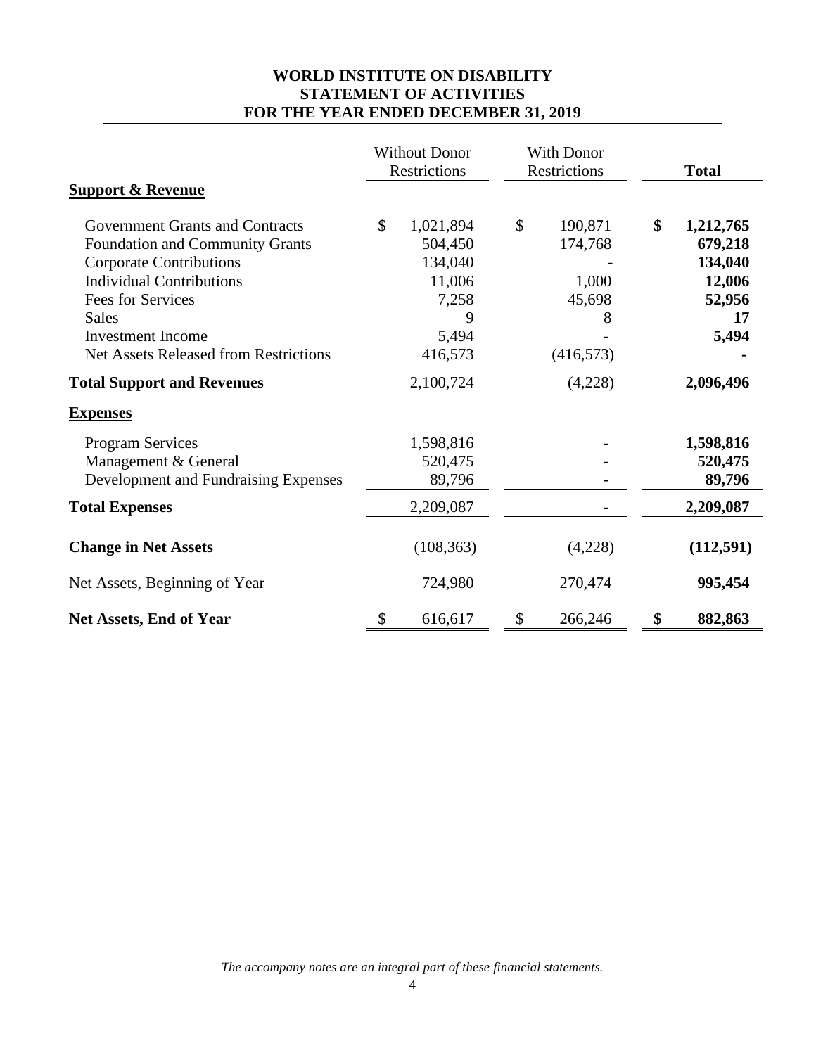## **WORLD INSTITUTE ON DISABILITY STATEMENT OF ACTIVITIES FOR THE YEAR ENDED DECEMBER 31, 2019**

|                                              |               | <b>Without Donor</b><br>Restrictions | <b>With Donor</b><br>Restrictions |    | <b>Total</b> |
|----------------------------------------------|---------------|--------------------------------------|-----------------------------------|----|--------------|
| <b>Support &amp; Revenue</b>                 |               |                                      |                                   |    |              |
| <b>Government Grants and Contracts</b>       | $\mathcal{S}$ | 1,021,894                            | \$<br>190,871                     | \$ | 1,212,765    |
| Foundation and Community Grants              |               | 504,450                              | 174,768                           |    | 679,218      |
| <b>Corporate Contributions</b>               |               | 134,040                              |                                   |    | 134,040      |
| <b>Individual Contributions</b>              |               | 11,006                               | 1,000                             |    | 12,006       |
| <b>Fees for Services</b>                     |               | 7,258                                | 45,698                            |    | 52,956       |
| <b>Sales</b>                                 |               | 9                                    | 8                                 |    | 17           |
| <b>Investment Income</b>                     |               | 5,494                                |                                   |    | 5,494        |
| <b>Net Assets Released from Restrictions</b> |               | 416,573                              | (416, 573)                        |    |              |
| <b>Total Support and Revenues</b>            |               | 2,100,724                            | (4,228)                           |    | 2,096,496    |
| <b>Expenses</b>                              |               |                                      |                                   |    |              |
| <b>Program Services</b>                      |               | 1,598,816                            |                                   |    | 1,598,816    |
| Management & General                         |               | 520,475                              |                                   |    | 520,475      |
| Development and Fundraising Expenses         |               | 89,796                               |                                   |    | 89,796       |
| <b>Total Expenses</b>                        |               | 2,209,087                            |                                   |    | 2,209,087    |
| <b>Change in Net Assets</b>                  |               | (108, 363)                           | (4,228)                           |    | (112,591)    |
| Net Assets, Beginning of Year                |               | 724,980                              | 270,474                           |    | 995,454      |
| <b>Net Assets, End of Year</b>               | \$            | 616,617                              | \$<br>266,246                     | \$ | 882,863      |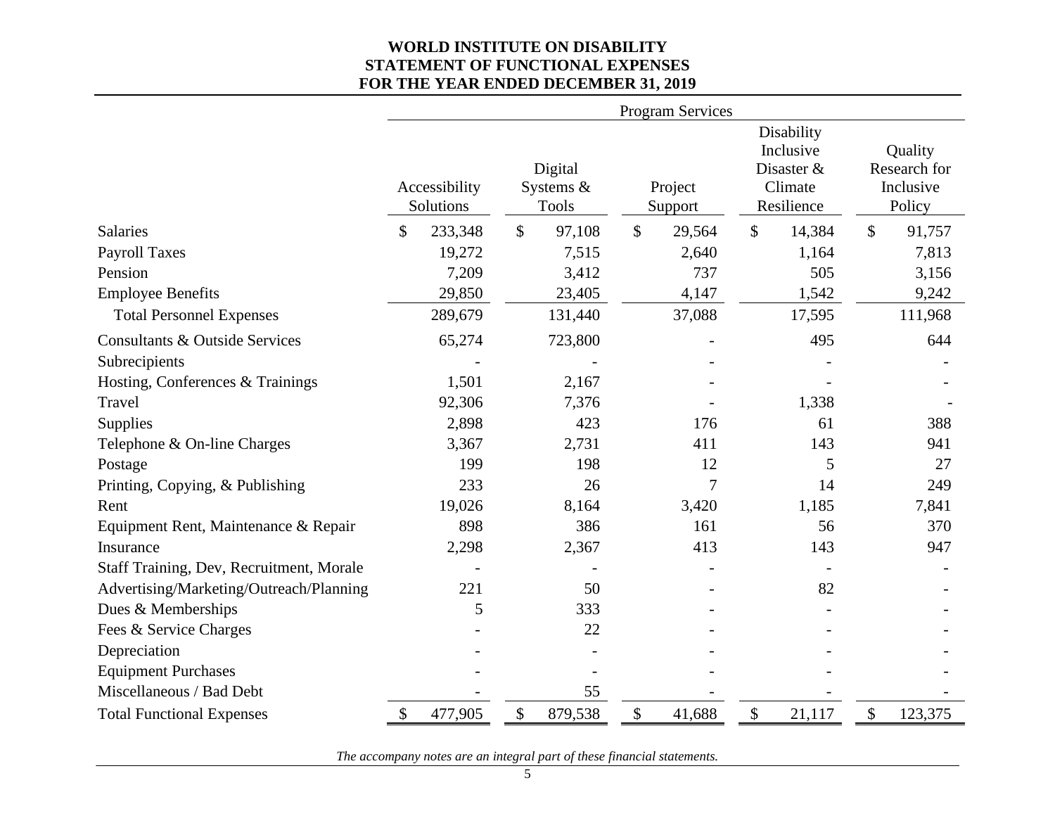## **WORLD INSTITUTE ON DISABILITY STATEMENT OF FUNCTIONAL EXPENSES FOR THE YEAR ENDED DECEMBER 31, 2019**

|                                          |                            |                                      | <b>Program Services</b> |                                                                |                                                |
|------------------------------------------|----------------------------|--------------------------------------|-------------------------|----------------------------------------------------------------|------------------------------------------------|
|                                          | Accessibility<br>Solutions | Digital<br>Systems &<br><b>Tools</b> | Project<br>Support      | Disability<br>Inclusive<br>Disaster &<br>Climate<br>Resilience | Quality<br>Research for<br>Inclusive<br>Policy |
| <b>Salaries</b>                          | \$<br>233,348              | \$<br>97,108                         | \$<br>29,564            | $\mathbb{S}$<br>14,384                                         | $\mathcal{S}$<br>91,757                        |
| <b>Payroll Taxes</b>                     | 19,272                     | 7,515                                | 2,640                   | 1,164                                                          | 7,813                                          |
| Pension                                  | 7,209                      | 3,412                                | 737                     | 505                                                            | 3,156                                          |
| <b>Employee Benefits</b>                 | 29,850                     | 23,405                               | 4,147                   | 1,542                                                          | 9,242                                          |
| <b>Total Personnel Expenses</b>          | 289,679                    | 131,440                              | 37,088                  | 17,595                                                         | 111,968                                        |
| Consultants & Outside Services           | 65,274                     | 723,800                              |                         | 495                                                            | 644                                            |
| Subrecipients                            |                            |                                      |                         |                                                                |                                                |
| Hosting, Conferences & Trainings         | 1,501                      | 2,167                                |                         |                                                                |                                                |
| Travel                                   | 92,306                     | 7,376                                |                         | 1,338                                                          |                                                |
| Supplies                                 | 2,898                      | 423                                  | 176                     | 61                                                             | 388                                            |
| Telephone & On-line Charges              | 3,367                      | 2,731                                | 411                     | 143                                                            | 941                                            |
| Postage                                  | 199                        | 198                                  | 12                      | 5                                                              | 27                                             |
| Printing, Copying, & Publishing          | 233                        | 26                                   | 7                       | 14                                                             | 249                                            |
| Rent                                     | 19,026                     | 8,164                                | 3,420                   | 1,185                                                          | 7,841                                          |
| Equipment Rent, Maintenance & Repair     | 898                        | 386                                  | 161                     | 56                                                             | 370                                            |
| Insurance                                | 2,298                      | 2,367                                | 413                     | 143                                                            | 947                                            |
| Staff Training, Dev, Recruitment, Morale |                            |                                      |                         |                                                                |                                                |
| Advertising/Marketing/Outreach/Planning  | 221                        | 50                                   |                         | 82                                                             |                                                |
| Dues & Memberships                       | 5                          | 333                                  |                         |                                                                |                                                |
| Fees & Service Charges                   |                            | 22                                   |                         |                                                                |                                                |
| Depreciation                             |                            |                                      |                         |                                                                |                                                |
| <b>Equipment Purchases</b>               |                            |                                      |                         |                                                                |                                                |
| Miscellaneous / Bad Debt                 |                            | 55                                   |                         |                                                                |                                                |
| <b>Total Functional Expenses</b>         | 477,905<br>\$              | \$<br>879,538                        | \$<br>41,688            | \$<br>21,117                                                   | \$<br>123,375                                  |

*The accompany notes are an integral part of these financial statements.*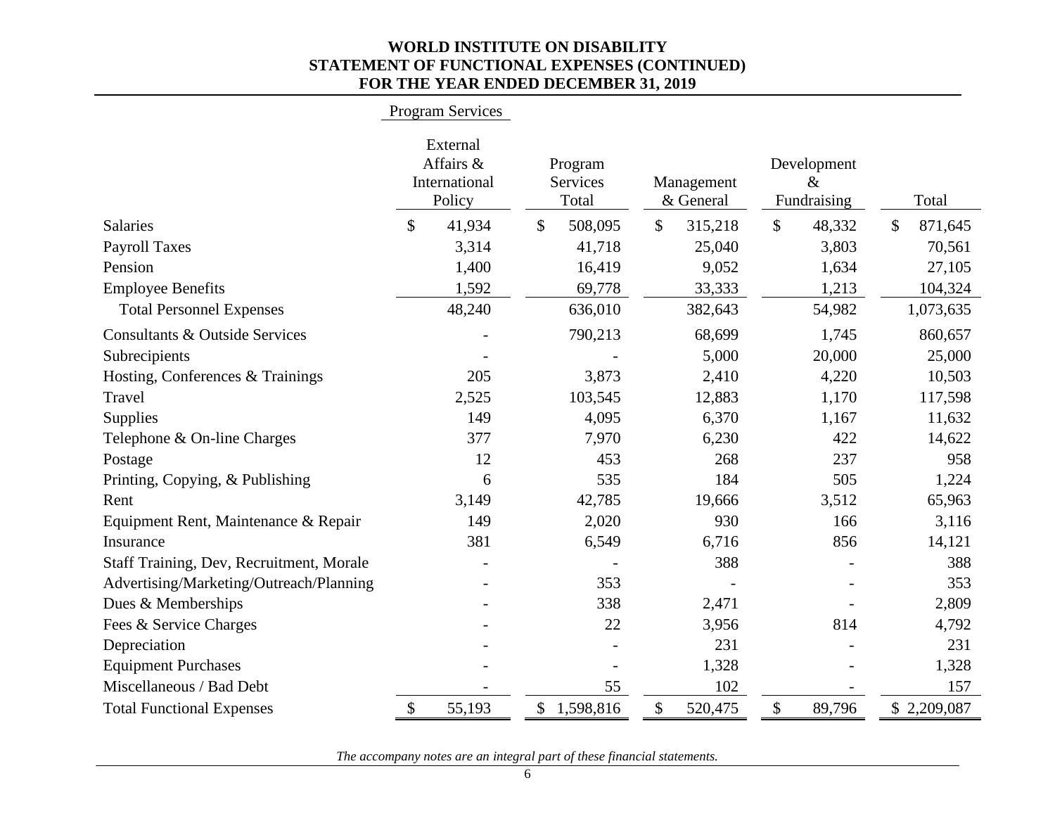#### **WORLD INSTITUTE ON DISABILITY STATEMENT OF FUNCTIONAL EXPENSES (CONTINUED) FOR THE YEAR ENDED DECEMBER 31, 2019**

|                                           | <b>Program Services</b>                          |                              |                         |                                    |               |             |
|-------------------------------------------|--------------------------------------------------|------------------------------|-------------------------|------------------------------------|---------------|-------------|
|                                           | External<br>Affairs &<br>International<br>Policy | Program<br>Services<br>Total | Management<br>& General | Development<br>$\&$<br>Fundraising |               | Total       |
| <b>Salaries</b>                           | \$<br>41,934                                     | \$<br>508,095                | \$<br>315,218           | \$<br>48,332                       | $\mathcal{S}$ | 871,645     |
| <b>Payroll Taxes</b>                      | 3,314                                            | 41,718                       | 25,040                  | 3,803                              |               | 70,561      |
| Pension                                   | 1,400                                            | 16,419                       | 9,052                   | 1,634                              |               | 27,105      |
| <b>Employee Benefits</b>                  | 1,592                                            | 69,778                       | 33,333                  | 1,213                              |               | 104,324     |
| <b>Total Personnel Expenses</b>           | 48,240                                           | 636,010                      | 382,643                 | 54,982                             |               | 1,073,635   |
| <b>Consultants &amp; Outside Services</b> |                                                  | 790,213                      | 68,699                  | 1,745                              |               | 860,657     |
| Subrecipients                             |                                                  |                              | 5,000                   | 20,000                             |               | 25,000      |
| Hosting, Conferences & Trainings          | 205                                              | 3,873                        | 2,410                   | 4,220                              |               | 10,503      |
| Travel                                    | 2,525                                            | 103,545                      | 12,883                  | 1,170                              |               | 117,598     |
| Supplies                                  | 149                                              | 4,095                        | 6,370                   | 1,167                              |               | 11,632      |
| Telephone & On-line Charges               | 377                                              | 7,970                        | 6,230                   | 422                                |               | 14,622      |
| Postage                                   | 12                                               | 453                          | 268                     | 237                                |               | 958         |
| Printing, Copying, & Publishing           | 6                                                | 535                          | 184                     | 505                                |               | 1,224       |
| Rent                                      | 3,149                                            | 42,785                       | 19,666                  | 3,512                              |               | 65,963      |
| Equipment Rent, Maintenance & Repair      | 149                                              | 2,020                        | 930                     | 166                                |               | 3,116       |
| Insurance                                 | 381                                              | 6,549                        | 6,716                   | 856                                |               | 14,121      |
| Staff Training, Dev, Recruitment, Morale  |                                                  |                              | 388                     |                                    |               | 388         |
| Advertising/Marketing/Outreach/Planning   |                                                  | 353                          |                         |                                    |               | 353         |
| Dues & Memberships                        |                                                  | 338                          | 2,471                   |                                    |               | 2,809       |
| Fees & Service Charges                    |                                                  | 22                           | 3,956                   | 814                                |               | 4,792       |
| Depreciation                              |                                                  |                              | 231                     |                                    |               | 231         |
| <b>Equipment Purchases</b>                |                                                  |                              | 1,328                   |                                    |               | 1,328       |
| Miscellaneous / Bad Debt                  |                                                  | 55                           | 102                     |                                    |               | 157         |
| <b>Total Functional Expenses</b>          | \$<br>55,193                                     | \$<br>1,598,816              | \$<br>520,475           | \$<br>89,796                       |               | \$2,209,087 |

*The accompany notes are an integral part of these financial statements.*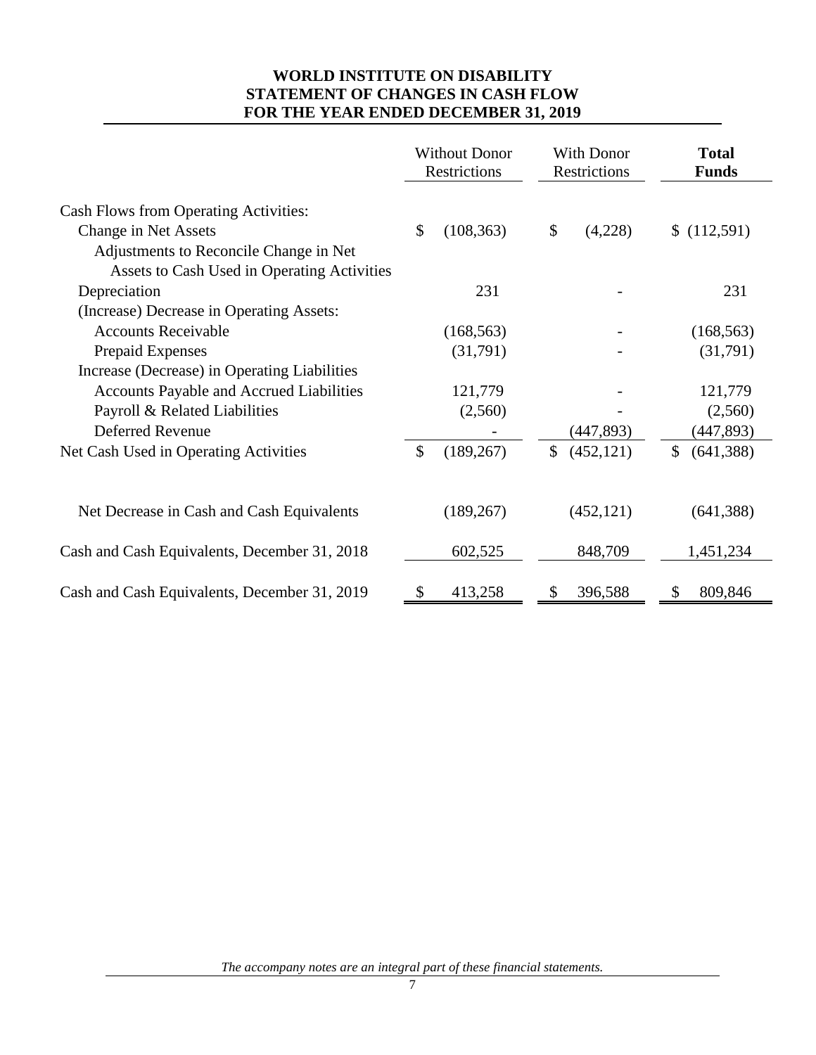## **WORLD INSTITUTE ON DISABILITY STATEMENT OF CHANGES IN CASH FLOW FOR THE YEAR ENDED DECEMBER 31, 2019**

|                                                 | <b>Without Donor</b><br>Restrictions | <b>With Donor</b><br>Restrictions | <b>Total</b><br><b>Funds</b> |
|-------------------------------------------------|--------------------------------------|-----------------------------------|------------------------------|
| <b>Cash Flows from Operating Activities:</b>    |                                      |                                   |                              |
| Change in Net Assets                            | \$<br>(108, 363)                     | \$<br>(4,228)                     | \$(112,591)                  |
| Adjustments to Reconcile Change in Net          |                                      |                                   |                              |
| Assets to Cash Used in Operating Activities     |                                      |                                   |                              |
| Depreciation                                    | 231                                  |                                   | 231                          |
| (Increase) Decrease in Operating Assets:        |                                      |                                   |                              |
| <b>Accounts Receivable</b>                      | (168, 563)                           |                                   | (168, 563)                   |
| Prepaid Expenses                                | (31,791)                             |                                   | (31,791)                     |
| Increase (Decrease) in Operating Liabilities    |                                      |                                   |                              |
| <b>Accounts Payable and Accrued Liabilities</b> | 121,779                              |                                   | 121,779                      |
| Payroll & Related Liabilities                   | (2,560)                              |                                   | (2,560)                      |
| <b>Deferred Revenue</b>                         |                                      | (447, 893)                        | (447, 893)                   |
| Net Cash Used in Operating Activities           | $\mathcal{S}$<br>(189, 267)          | \$<br>(452, 121)                  | \$<br>(641, 388)             |
| Net Decrease in Cash and Cash Equivalents       | (189, 267)                           | (452, 121)                        | (641, 388)                   |
| Cash and Cash Equivalents, December 31, 2018    | 602,525                              | 848,709                           | 1,451,234                    |
| Cash and Cash Equivalents, December 31, 2019    | 413,258<br>\$                        | 396,588<br>S                      | 809,846<br>\$                |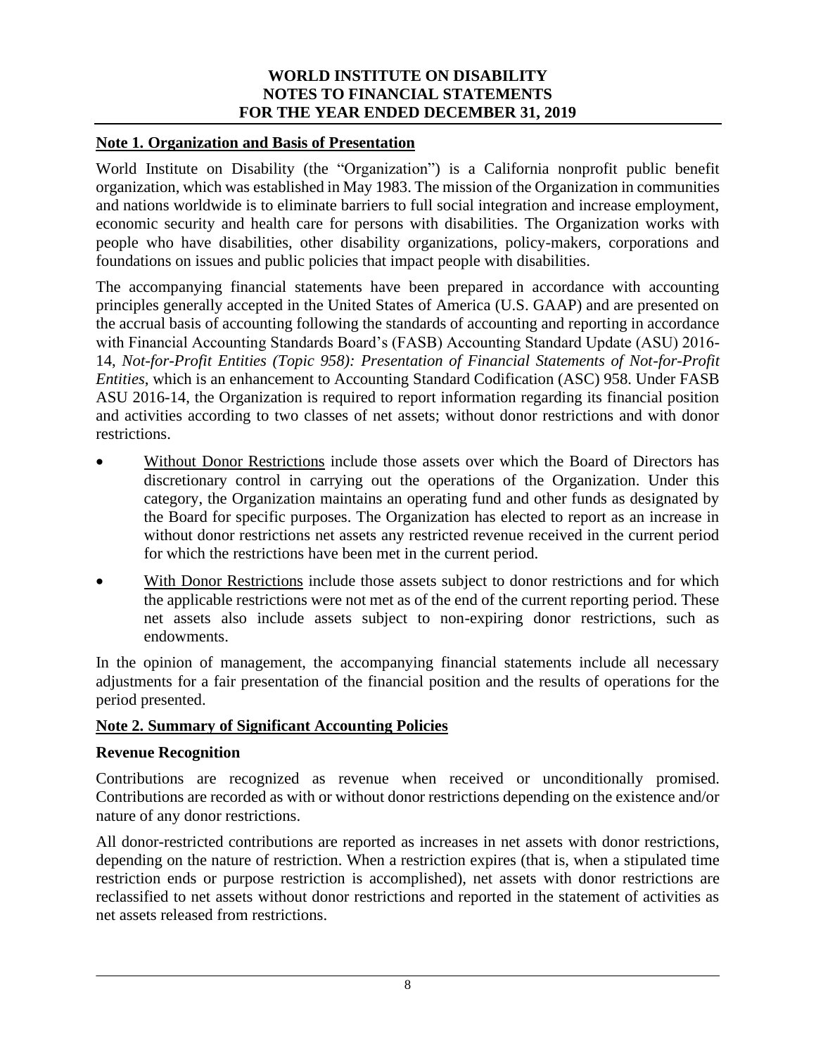# **Note 1. Organization and Basis of Presentation**

World Institute on Disability (the "Organization") is a California nonprofit public benefit organization, which was established in May 1983. The mission of the Organization in communities and nations worldwide is to eliminate barriers to full social integration and increase employment, economic security and health care for persons with disabilities. The Organization works with people who have disabilities, other disability organizations, policy-makers, corporations and foundations on issues and public policies that impact people with disabilities.

The accompanying financial statements have been prepared in accordance with accounting principles generally accepted in the United States of America (U.S. GAAP) and are presented on the accrual basis of accounting following the standards of accounting and reporting in accordance with Financial Accounting Standards Board's (FASB) Accounting Standard Update (ASU) 2016- 14, *Not-for-Profit Entities (Topic 958): Presentation of Financial Statements of Not-for-Profit Entities*, which is an enhancement to Accounting Standard Codification (ASC) 958. Under FASB ASU 2016-14, the Organization is required to report information regarding its financial position and activities according to two classes of net assets; without donor restrictions and with donor restrictions.

- Without Donor Restrictions include those assets over which the Board of Directors has discretionary control in carrying out the operations of the Organization. Under this category, the Organization maintains an operating fund and other funds as designated by the Board for specific purposes. The Organization has elected to report as an increase in without donor restrictions net assets any restricted revenue received in the current period for which the restrictions have been met in the current period.
- With Donor Restrictions include those assets subject to donor restrictions and for which the applicable restrictions were not met as of the end of the current reporting period. These net assets also include assets subject to non-expiring donor restrictions, such as endowments.

In the opinion of management, the accompanying financial statements include all necessary adjustments for a fair presentation of the financial position and the results of operations for the period presented.

# **Note 2. Summary of Significant Accounting Policies**

# **Revenue Recognition**

Contributions are recognized as revenue when received or unconditionally promised. Contributions are recorded as with or without donor restrictions depending on the existence and/or nature of any donor restrictions.

All donor-restricted contributions are reported as increases in net assets with donor restrictions, depending on the nature of restriction. When a restriction expires (that is, when a stipulated time restriction ends or purpose restriction is accomplished), net assets with donor restrictions are reclassified to net assets without donor restrictions and reported in the statement of activities as net assets released from restrictions.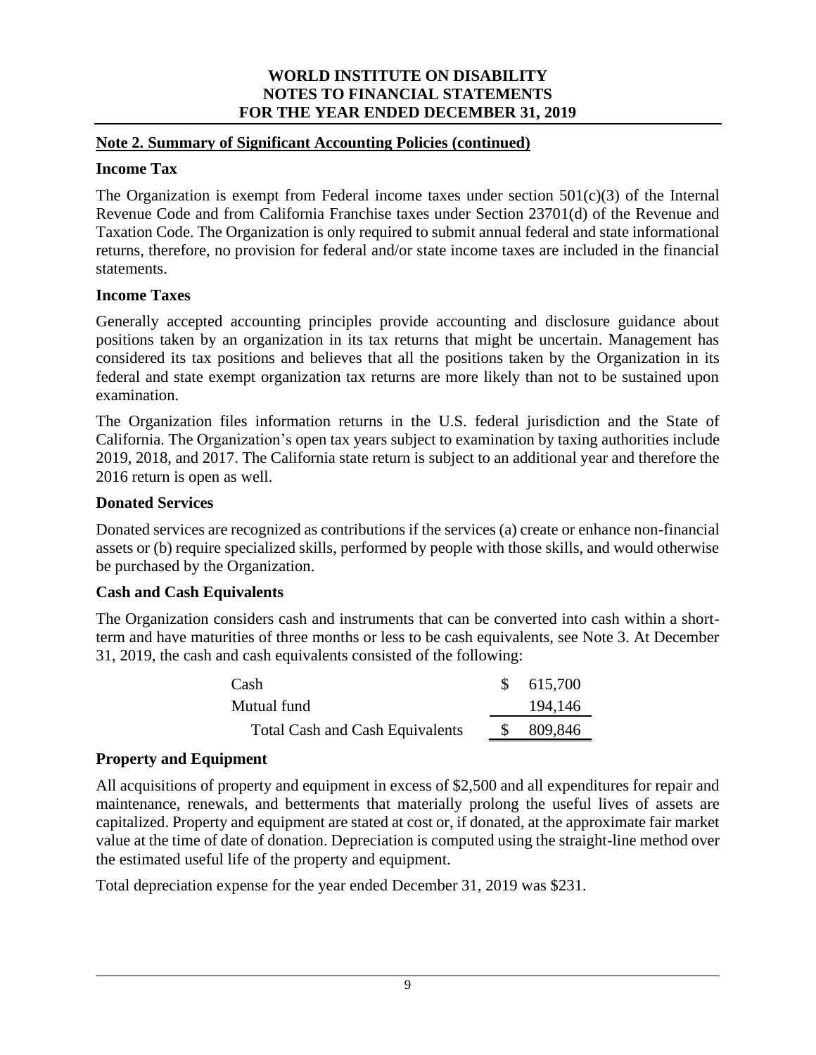## **Note 2. Summary of Significant Accounting Policies (continued)**

## **Income Tax**

The Organization is exempt from Federal income taxes under section  $501(c)(3)$  of the Internal Revenue Code and from California Franchise taxes under Section 23701(d) of the Revenue and Taxation Code. The Organization is only required to submit annual federal and state informational returns, therefore, no provision for federal and/or state income taxes are included in the financial statements.

## **Income Taxes**

Generally accepted accounting principles provide accounting and disclosure guidance about positions taken by an organization in its tax returns that might be uncertain. Management has considered its tax positions and believes that all the positions taken by the Organization in its federal and state exempt organization tax returns are more likely than not to be sustained upon examination.

The Organization files information returns in the U.S. federal jurisdiction and the State of California. The Organization's open tax years subject to examination by taxing authorities include 2019, 2018, and 2017. The California state return is subject to an additional year and therefore the 2016 return is open as well.

## **Donated Services**

Donated services are recognized as contributions if the services (a) create or enhance non-financial assets or (b) require specialized skills, performed by people with those skills, and would otherwise be purchased by the Organization.

## **Cash and Cash Equivalents**

The Organization considers cash and instruments that can be converted into cash within a shortterm and have maturities of three months or less to be cash equivalents, see Note 3. At December 31, 2019, the cash and cash equivalents consisted of the following:

| Cash                                   | 615,700 |
|----------------------------------------|---------|
| Mutual fund                            | 194,146 |
| <b>Total Cash and Cash Equivalents</b> | 809,846 |

## **Property and Equipment**

All acquisitions of property and equipment in excess of \$2,500 and all expenditures for repair and maintenance, renewals, and betterments that materially prolong the useful lives of assets are capitalized. Property and equipment are stated at cost or, if donated, at the approximate fair market value at the time of date of donation. Depreciation is computed using the straight-line method over the estimated useful life of the property and equipment.

Total depreciation expense for the year ended December 31, 2019 was \$231.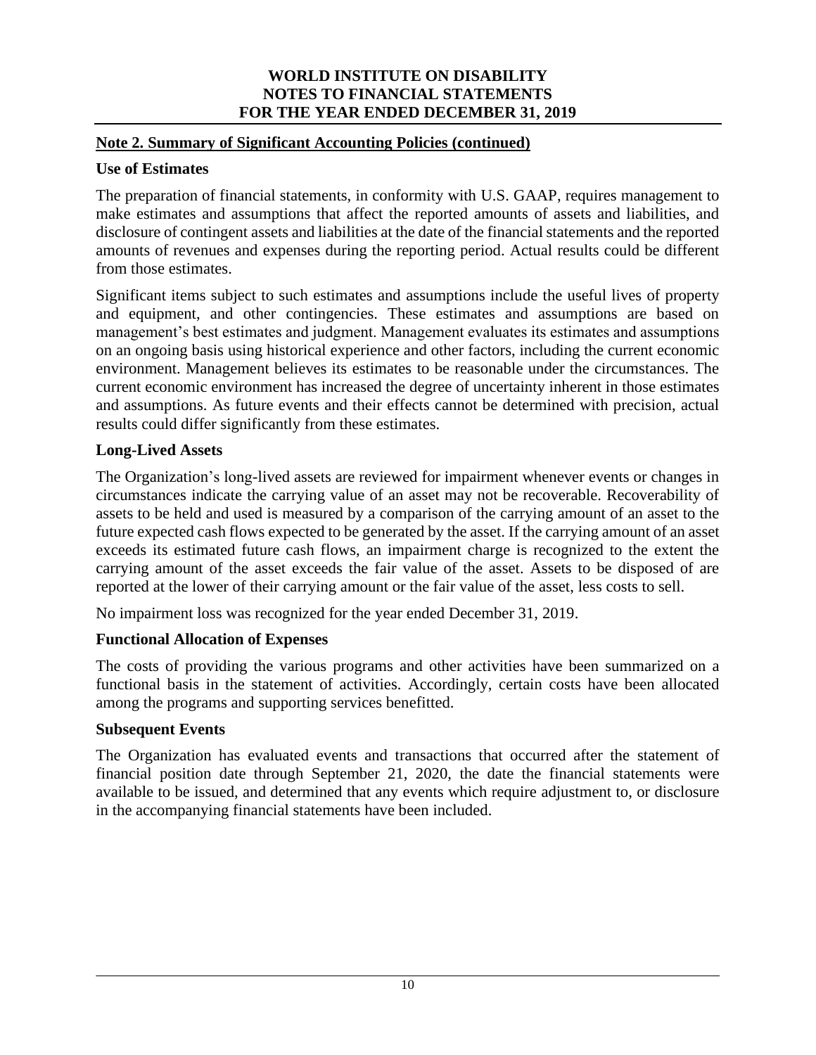# **Note 2. Summary of Significant Accounting Policies (continued)**

## **Use of Estimates**

The preparation of financial statements, in conformity with U.S. GAAP, requires management to make estimates and assumptions that affect the reported amounts of assets and liabilities, and disclosure of contingent assets and liabilities at the date of the financial statements and the reported amounts of revenues and expenses during the reporting period. Actual results could be different from those estimates.

Significant items subject to such estimates and assumptions include the useful lives of property and equipment, and other contingencies. These estimates and assumptions are based on management's best estimates and judgment. Management evaluates its estimates and assumptions on an ongoing basis using historical experience and other factors, including the current economic environment. Management believes its estimates to be reasonable under the circumstances. The current economic environment has increased the degree of uncertainty inherent in those estimates and assumptions. As future events and their effects cannot be determined with precision, actual results could differ significantly from these estimates.

# **Long-Lived Assets**

The Organization's long-lived assets are reviewed for impairment whenever events or changes in circumstances indicate the carrying value of an asset may not be recoverable. Recoverability of assets to be held and used is measured by a comparison of the carrying amount of an asset to the future expected cash flows expected to be generated by the asset. If the carrying amount of an asset exceeds its estimated future cash flows, an impairment charge is recognized to the extent the carrying amount of the asset exceeds the fair value of the asset. Assets to be disposed of are reported at the lower of their carrying amount or the fair value of the asset, less costs to sell.

No impairment loss was recognized for the year ended December 31, 2019.

# **Functional Allocation of Expenses**

The costs of providing the various programs and other activities have been summarized on a functional basis in the statement of activities. Accordingly, certain costs have been allocated among the programs and supporting services benefitted.

## **Subsequent Events**

The Organization has evaluated events and transactions that occurred after the statement of financial position date through September 21, 2020, the date the financial statements were available to be issued, and determined that any events which require adjustment to, or disclosure in the accompanying financial statements have been included.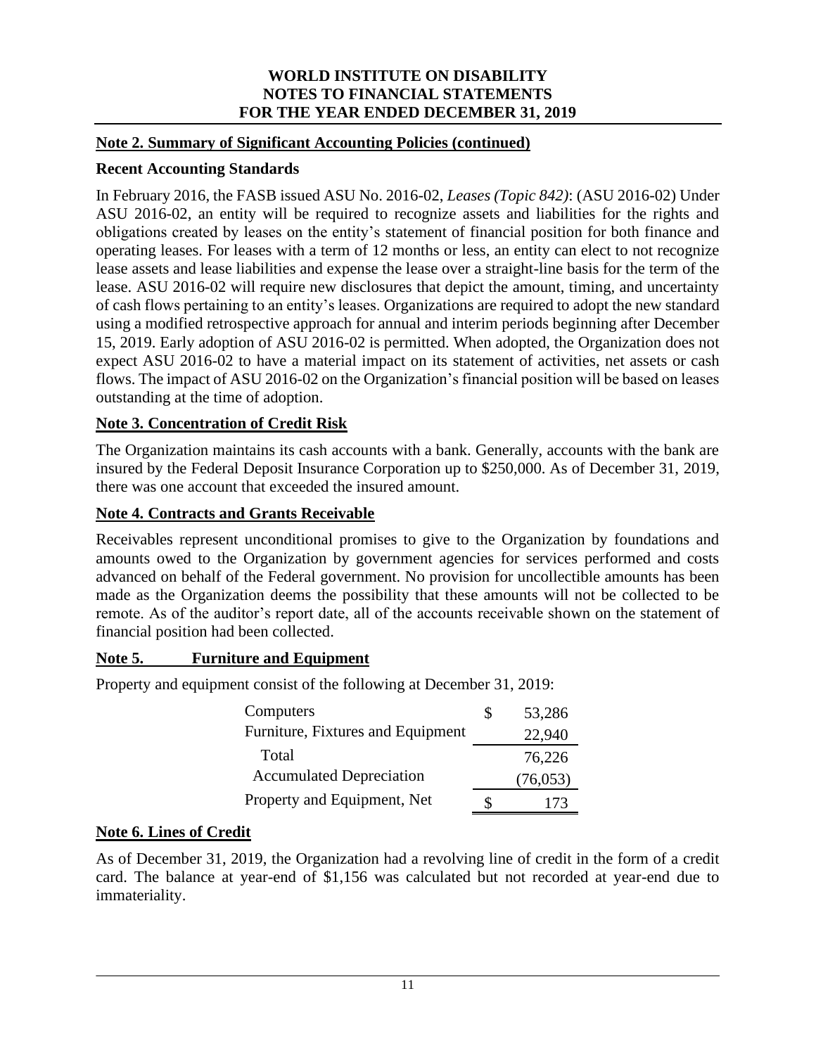# **Note 2. Summary of Significant Accounting Policies (continued)**

## **Recent Accounting Standards**

In February 2016, the FASB issued ASU No. 2016-02, *Leases (Topic 842)*: (ASU 2016-02) Under ASU 2016-02, an entity will be required to recognize assets and liabilities for the rights and obligations created by leases on the entity's statement of financial position for both finance and operating leases. For leases with a term of 12 months or less, an entity can elect to not recognize lease assets and lease liabilities and expense the lease over a straight-line basis for the term of the lease. ASU 2016-02 will require new disclosures that depict the amount, timing, and uncertainty of cash flows pertaining to an entity's leases. Organizations are required to adopt the new standard using a modified retrospective approach for annual and interim periods beginning after December 15, 2019. Early adoption of ASU 2016-02 is permitted. When adopted, the Organization does not expect ASU 2016-02 to have a material impact on its statement of activities, net assets or cash flows. The impact of ASU 2016-02 on the Organization's financial position will be based on leases outstanding at the time of adoption.

## **Note 3. Concentration of Credit Risk**

The Organization maintains its cash accounts with a bank. Generally, accounts with the bank are insured by the Federal Deposit Insurance Corporation up to \$250,000. As of December 31, 2019, there was one account that exceeded the insured amount.

## **Note 4. Contracts and Grants Receivable**

Receivables represent unconditional promises to give to the Organization by foundations and amounts owed to the Organization by government agencies for services performed and costs advanced on behalf of the Federal government. No provision for uncollectible amounts has been made as the Organization deems the possibility that these amounts will not be collected to be remote. As of the auditor's report date, all of the accounts receivable shown on the statement of financial position had been collected.

## **Note 5. Furniture and Equipment**

Property and equipment consist of the following at December 31, 2019:

| Computers                         | 53,286    |
|-----------------------------------|-----------|
| Furniture, Fixtures and Equipment | 22,940    |
| Total                             | 76,226    |
| <b>Accumulated Depreciation</b>   | (76, 053) |
| Property and Equipment, Net       | 173       |

## **Note 6. Lines of Credit**

As of December 31, 2019, the Organization had a revolving line of credit in the form of a credit card. The balance at year-end of \$1,156 was calculated but not recorded at year-end due to immateriality.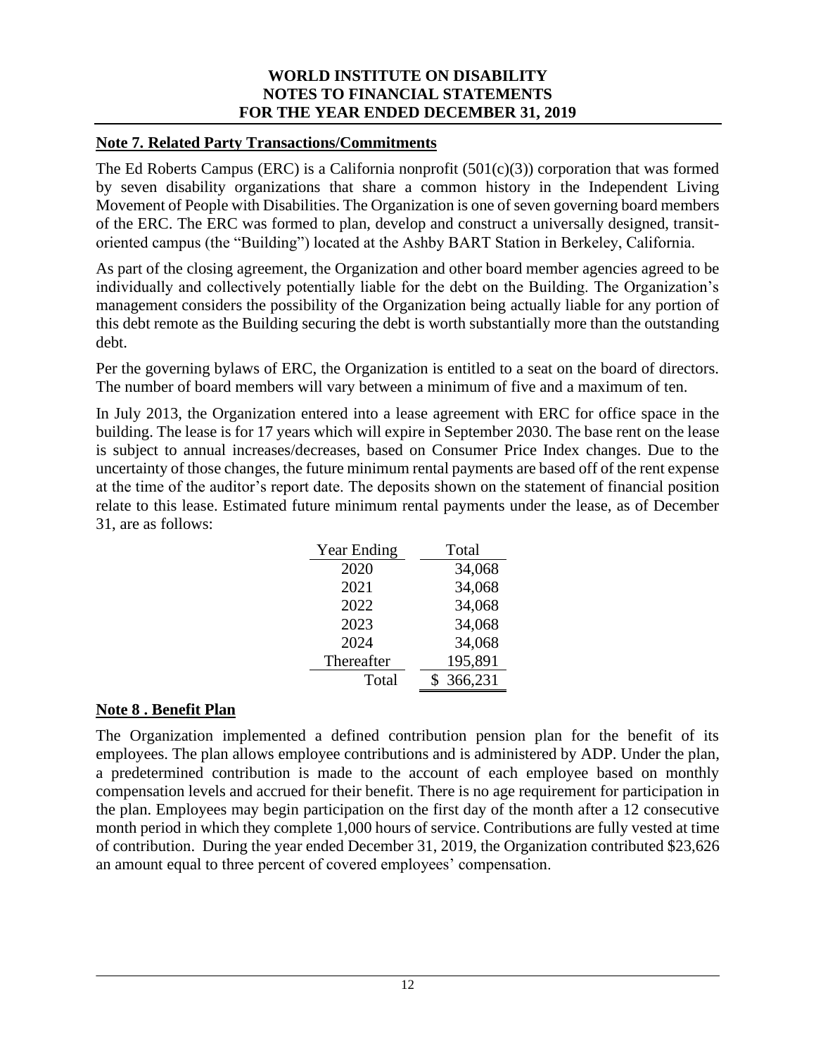# **Note 7. Related Party Transactions/Commitments**

The Ed Roberts Campus (ERC) is a California nonprofit  $(501(c)(3))$  corporation that was formed by seven disability organizations that share a common history in the Independent Living Movement of People with Disabilities. The Organization is one of seven governing board members of the ERC. The ERC was formed to plan, develop and construct a universally designed, transitoriented campus (the "Building") located at the Ashby BART Station in Berkeley, California.

As part of the closing agreement, the Organization and other board member agencies agreed to be individually and collectively potentially liable for the debt on the Building. The Organization's management considers the possibility of the Organization being actually liable for any portion of this debt remote as the Building securing the debt is worth substantially more than the outstanding debt.

Per the governing bylaws of ERC, the Organization is entitled to a seat on the board of directors. The number of board members will vary between a minimum of five and a maximum of ten.

In July 2013, the Organization entered into a lease agreement with ERC for office space in the building. The lease is for 17 years which will expire in September 2030. The base rent on the lease is subject to annual increases/decreases, based on Consumer Price Index changes. Due to the uncertainty of those changes, the future minimum rental payments are based off of the rent expense at the time of the auditor's report date. The deposits shown on the statement of financial position relate to this lease. Estimated future minimum rental payments under the lease, as of December 31, are as follows:

| <b>Year Ending</b> | Total   |
|--------------------|---------|
| 2020               | 34,068  |
| 2021               | 34,068  |
| 2022               | 34,068  |
| 2023               | 34,068  |
| 2024               | 34,068  |
| Thereafter         | 195,891 |
| Total              | 366,231 |

# **Note 8 . Benefit Plan**

The Organization implemented a defined contribution pension plan for the benefit of its employees. The plan allows employee contributions and is administered by ADP. Under the plan, a predetermined contribution is made to the account of each employee based on monthly compensation levels and accrued for their benefit. There is no age requirement for participation in the plan. Employees may begin participation on the first day of the month after a 12 consecutive month period in which they complete 1,000 hours of service. Contributions are fully vested at time of contribution. During the year ended December 31, 2019, the Organization contributed \$23,626 an amount equal to three percent of covered employees' compensation.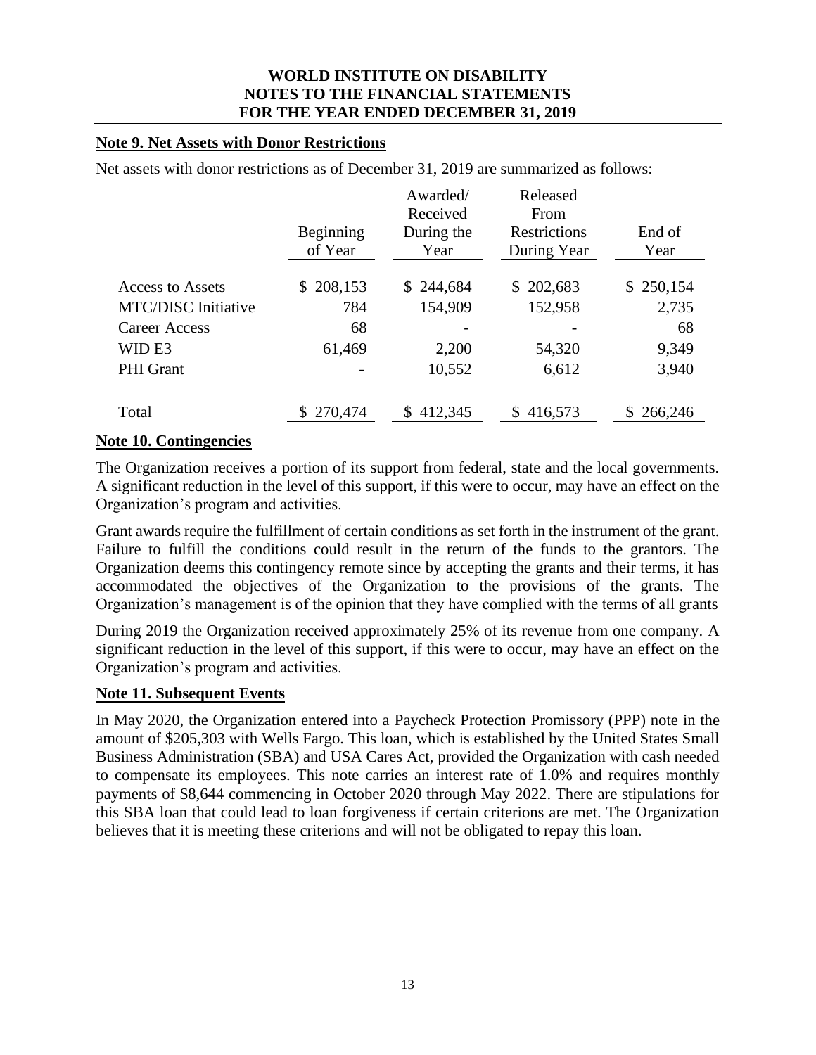# **Note 9. Net Assets with Donor Restrictions**

Net assets with donor restrictions as of December 31, 2019 are summarized as follows:

|                            |                      | Awarded/<br>Received | Released<br>From            |                |
|----------------------------|----------------------|----------------------|-----------------------------|----------------|
|                            | Beginning<br>of Year | During the<br>Year   | Restrictions<br>During Year | End of<br>Year |
| Access to Assets           | \$208,153            | \$244,684            | \$202,683                   | \$250,154      |
| <b>MTC/DISC Initiative</b> | 784                  | 154,909              | 152,958                     | 2,735          |
| Career Access              | 68                   |                      |                             | 68             |
| WID <sub>E3</sub>          | 61,469               | 2,200                | 54,320                      | 9,349          |
| <b>PHI</b> Grant           |                      | 10,552               | 6,612                       | 3,940          |
| Total                      | \$270,474            | \$412,345            | S.<br>416,573               | 266,246        |

## **Note 10. Contingencies**

The Organization receives a portion of its support from federal, state and the local governments. A significant reduction in the level of this support, if this were to occur, may have an effect on the Organization's program and activities.

Grant awards require the fulfillment of certain conditions as set forth in the instrument of the grant. Failure to fulfill the conditions could result in the return of the funds to the grantors. The Organization deems this contingency remote since by accepting the grants and their terms, it has accommodated the objectives of the Organization to the provisions of the grants. The Organization's management is of the opinion that they have complied with the terms of all grants

During 2019 the Organization received approximately 25% of its revenue from one company. A significant reduction in the level of this support, if this were to occur, may have an effect on the Organization's program and activities.

## **Note 11. Subsequent Events**

In May 2020, the Organization entered into a Paycheck Protection Promissory (PPP) note in the amount of \$205,303 with Wells Fargo. This loan, which is established by the United States Small Business Administration (SBA) and USA Cares Act, provided the Organization with cash needed to compensate its employees. This note carries an interest rate of 1.0% and requires monthly payments of \$8,644 commencing in October 2020 through May 2022. There are stipulations for this SBA loan that could lead to loan forgiveness if certain criterions are met. The Organization believes that it is meeting these criterions and will not be obligated to repay this loan.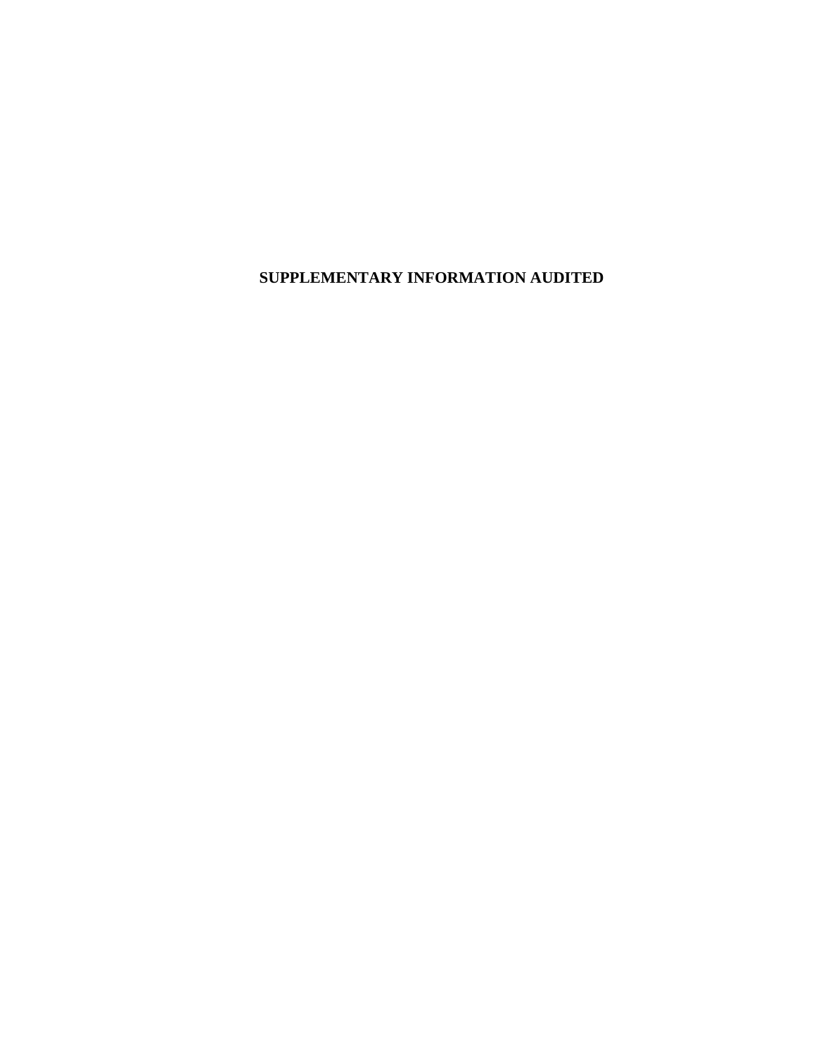**SUPPLEMENTARY INFORMATION AUDITED**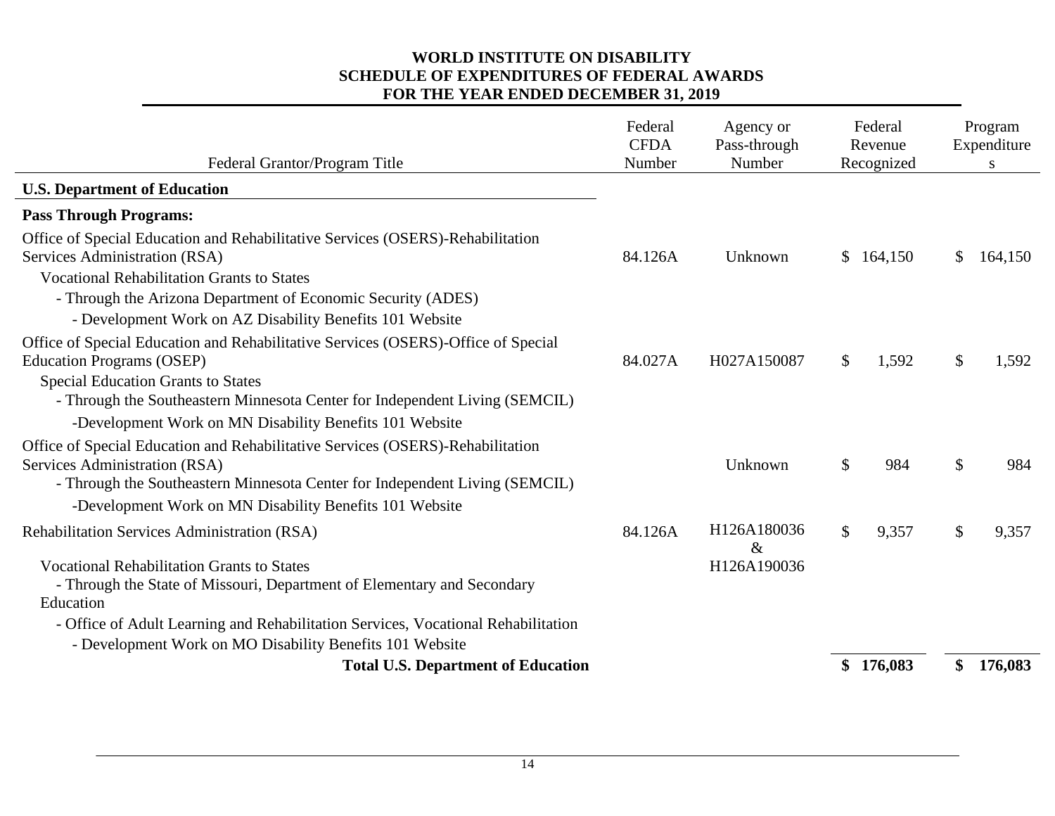## **WORLD INSTITUTE ON DISABILITY SCHEDULE OF EXPENDITURES OF FEDERAL AWARDS FOR THE YEAR ENDED DECEMBER 31, 2019**

| Federal Grantor/Program Title                                                                                                                                                                                                                                                                    | Federal<br><b>CFDA</b><br>Number | Agency or<br>Pass-through<br>Number |               | Federal<br>Revenue<br>Recognized | Program<br>Expenditure<br>S |
|--------------------------------------------------------------------------------------------------------------------------------------------------------------------------------------------------------------------------------------------------------------------------------------------------|----------------------------------|-------------------------------------|---------------|----------------------------------|-----------------------------|
| <b>U.S. Department of Education</b>                                                                                                                                                                                                                                                              |                                  |                                     |               |                                  |                             |
| <b>Pass Through Programs:</b>                                                                                                                                                                                                                                                                    |                                  |                                     |               |                                  |                             |
| Office of Special Education and Rehabilitative Services (OSERS)-Rehabilitation<br>Services Administration (RSA)<br><b>Vocational Rehabilitation Grants to States</b><br>- Through the Arizona Department of Economic Security (ADES)<br>- Development Work on AZ Disability Benefits 101 Website | 84.126A                          | Unknown                             | \$            | 164,150                          | 164,150                     |
| Office of Special Education and Rehabilitative Services (OSERS)-Office of Special<br><b>Education Programs (OSEP)</b><br><b>Special Education Grants to States</b><br>- Through the Southeastern Minnesota Center for Independent Living (SEMCIL)                                                | 84.027A                          | H027A150087                         | $\mathcal{S}$ | 1,592                            | 1,592                       |
| -Development Work on MN Disability Benefits 101 Website                                                                                                                                                                                                                                          |                                  |                                     |               |                                  |                             |
| Office of Special Education and Rehabilitative Services (OSERS)-Rehabilitation<br>Services Administration (RSA)<br>- Through the Southeastern Minnesota Center for Independent Living (SEMCIL)                                                                                                   |                                  | Unknown                             | $\mathcal{S}$ | 984                              | \$<br>984                   |
| -Development Work on MN Disability Benefits 101 Website                                                                                                                                                                                                                                          |                                  |                                     |               |                                  |                             |
| Rehabilitation Services Administration (RSA)                                                                                                                                                                                                                                                     | 84.126A                          | H126A180036<br>&                    | \$            | 9,357                            | \$<br>9,357                 |
| <b>Vocational Rehabilitation Grants to States</b><br>- Through the State of Missouri, Department of Elementary and Secondary<br>Education                                                                                                                                                        |                                  | H126A190036                         |               |                                  |                             |
| - Office of Adult Learning and Rehabilitation Services, Vocational Rehabilitation                                                                                                                                                                                                                |                                  |                                     |               |                                  |                             |
| - Development Work on MO Disability Benefits 101 Website                                                                                                                                                                                                                                         |                                  |                                     |               |                                  |                             |
| <b>Total U.S. Department of Education</b>                                                                                                                                                                                                                                                        |                                  |                                     |               | \$176,083                        | \$<br>176,083               |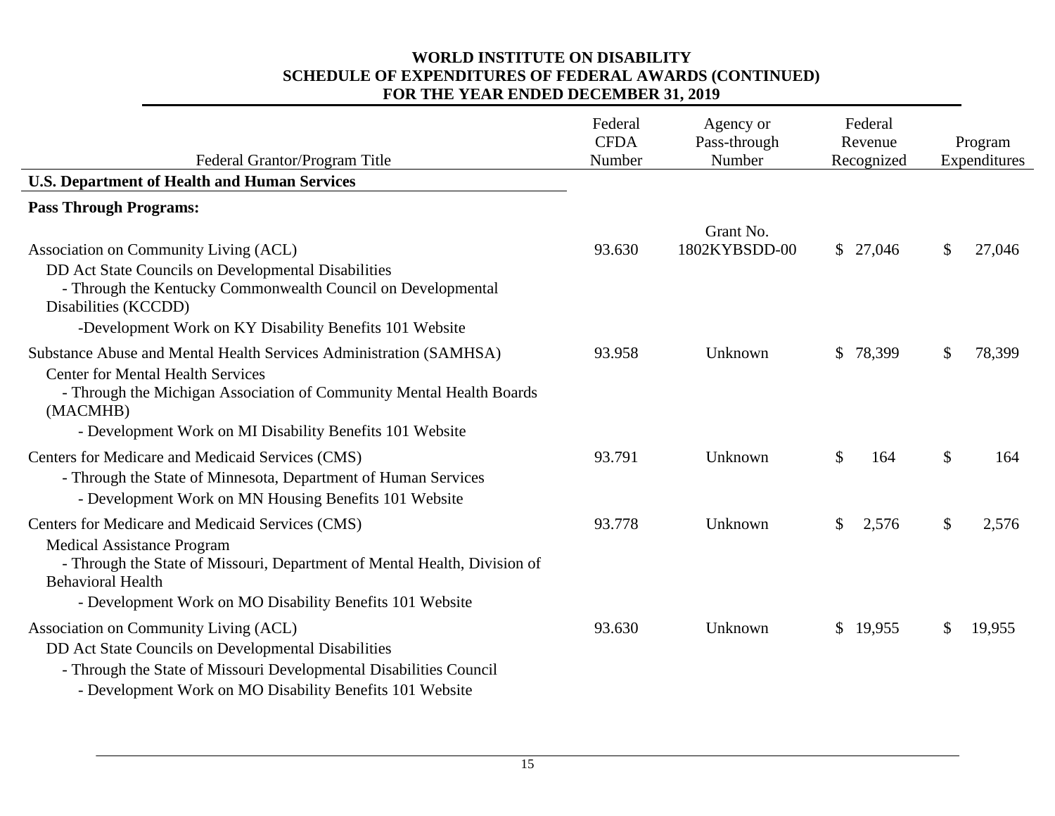## **WORLD INSTITUTE ON DISABILITY SCHEDULE OF EXPENDITURES OF FEDERAL AWARDS (CONTINUED) FOR THE YEAR ENDED DECEMBER 31, 2019**

| Federal Grantor/Program Title                                                                                                                                                                                                                                  | Federal<br><b>CFDA</b><br>Number | Agency or<br>Pass-through<br>Number | Federal<br>Revenue<br>Recognized | Program<br>Expenditures |
|----------------------------------------------------------------------------------------------------------------------------------------------------------------------------------------------------------------------------------------------------------------|----------------------------------|-------------------------------------|----------------------------------|-------------------------|
| <b>U.S. Department of Health and Human Services</b>                                                                                                                                                                                                            |                                  |                                     |                                  |                         |
| <b>Pass Through Programs:</b>                                                                                                                                                                                                                                  |                                  | Grant No.                           |                                  |                         |
| Association on Community Living (ACL)<br>DD Act State Councils on Developmental Disabilities<br>- Through the Kentucky Commonwealth Council on Developmental<br>Disabilities (KCCDD)<br>-Development Work on KY Disability Benefits 101 Website                | 93.630                           | 1802KYBSDD-00                       | \$27,046                         | 27,046<br>$\mathbb{S}$  |
| Substance Abuse and Mental Health Services Administration (SAMHSA)<br><b>Center for Mental Health Services</b><br>- Through the Michigan Association of Community Mental Health Boards<br>(MACMHB)<br>- Development Work on MI Disability Benefits 101 Website | 93.958                           | Unknown                             | $\mathbb{S}$<br>78,399           | $\mathbb{S}$<br>78,399  |
| Centers for Medicare and Medicaid Services (CMS)<br>- Through the State of Minnesota, Department of Human Services<br>- Development Work on MN Housing Benefits 101 Website                                                                                    | 93.791                           | Unknown                             | \$<br>164                        | $\mathcal{S}$<br>164    |
| Centers for Medicare and Medicaid Services (CMS)<br><b>Medical Assistance Program</b><br>- Through the State of Missouri, Department of Mental Health, Division of<br><b>Behavioral Health</b><br>- Development Work on MO Disability Benefits 101 Website     | 93.778                           | Unknown                             | \$<br>2,576                      | $\mathbb{S}$<br>2,576   |
| Association on Community Living (ACL)<br>DD Act State Councils on Developmental Disabilities<br>- Through the State of Missouri Developmental Disabilities Council<br>- Development Work on MO Disability Benefits 101 Website                                 | 93.630                           | Unknown                             | \$19,955                         | $\mathbb{S}$<br>19,955  |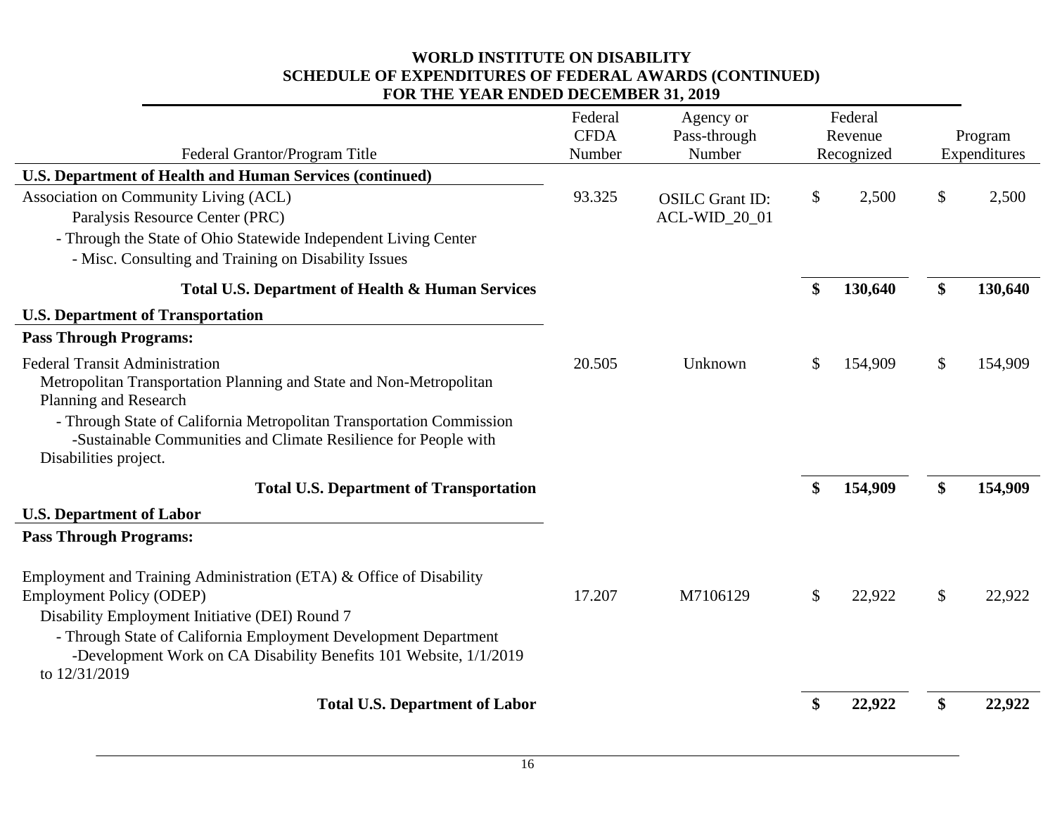|                                                                                                                                                                  | Federal<br><b>CFDA</b> | Agency or<br>Pass-through | Federal<br>Revenue<br>Recognized |         | Program<br>Expenditures |         |
|------------------------------------------------------------------------------------------------------------------------------------------------------------------|------------------------|---------------------------|----------------------------------|---------|-------------------------|---------|
| Federal Grantor/Program Title                                                                                                                                    | Number                 | Number                    |                                  |         |                         |         |
| <b>U.S. Department of Health and Human Services (continued)</b>                                                                                                  |                        |                           |                                  |         |                         |         |
| <b>Association on Community Living (ACL)</b>                                                                                                                     | 93.325                 | <b>OSILC Grant ID:</b>    | \$                               | 2,500   | \$                      | 2,500   |
| Paralysis Resource Center (PRC)                                                                                                                                  |                        | ACL-WID_20_01             |                                  |         |                         |         |
| - Through the State of Ohio Statewide Independent Living Center                                                                                                  |                        |                           |                                  |         |                         |         |
| - Misc. Consulting and Training on Disability Issues                                                                                                             |                        |                           |                                  |         |                         |         |
| Total U.S. Department of Health & Human Services                                                                                                                 |                        |                           | \$                               | 130,640 | \$                      | 130,640 |
| <b>U.S. Department of Transportation</b>                                                                                                                         |                        |                           |                                  |         |                         |         |
| <b>Pass Through Programs:</b>                                                                                                                                    |                        |                           |                                  |         |                         |         |
| <b>Federal Transit Administration</b><br>Metropolitan Transportation Planning and State and Non-Metropolitan<br>Planning and Research                            | 20.505                 | Unknown                   | \$                               | 154,909 | \$                      | 154,909 |
| - Through State of California Metropolitan Transportation Commission<br>-Sustainable Communities and Climate Resilience for People with<br>Disabilities project. |                        |                           |                                  |         |                         |         |
| <b>Total U.S. Department of Transportation</b>                                                                                                                   |                        |                           | \$                               | 154,909 | \$                      | 154,909 |
| <b>U.S. Department of Labor</b>                                                                                                                                  |                        |                           |                                  |         |                         |         |
| <b>Pass Through Programs:</b>                                                                                                                                    |                        |                           |                                  |         |                         |         |
| Employment and Training Administration (ETA) & Office of Disability<br><b>Employment Policy (ODEP)</b>                                                           | 17.207                 | M7106129                  | \$                               | 22,922  | \$                      | 22,922  |
| Disability Employment Initiative (DEI) Round 7                                                                                                                   |                        |                           |                                  |         |                         |         |
| - Through State of California Employment Development Department<br>-Development Work on CA Disability Benefits 101 Website, 1/1/2019<br>to 12/31/2019            |                        |                           |                                  |         |                         |         |
| <b>Total U.S. Department of Labor</b>                                                                                                                            |                        |                           | \$                               | 22,922  | \$                      | 22,922  |
|                                                                                                                                                                  |                        |                           |                                  |         |                         |         |

#### **WORLD INSTITUTE ON DISABILITY SCHEDULE OF EXPENDITURES OF FEDERAL AWARDS (CONTINUED) FOR THE YEAR ENDED DECEMBER 31, 2019**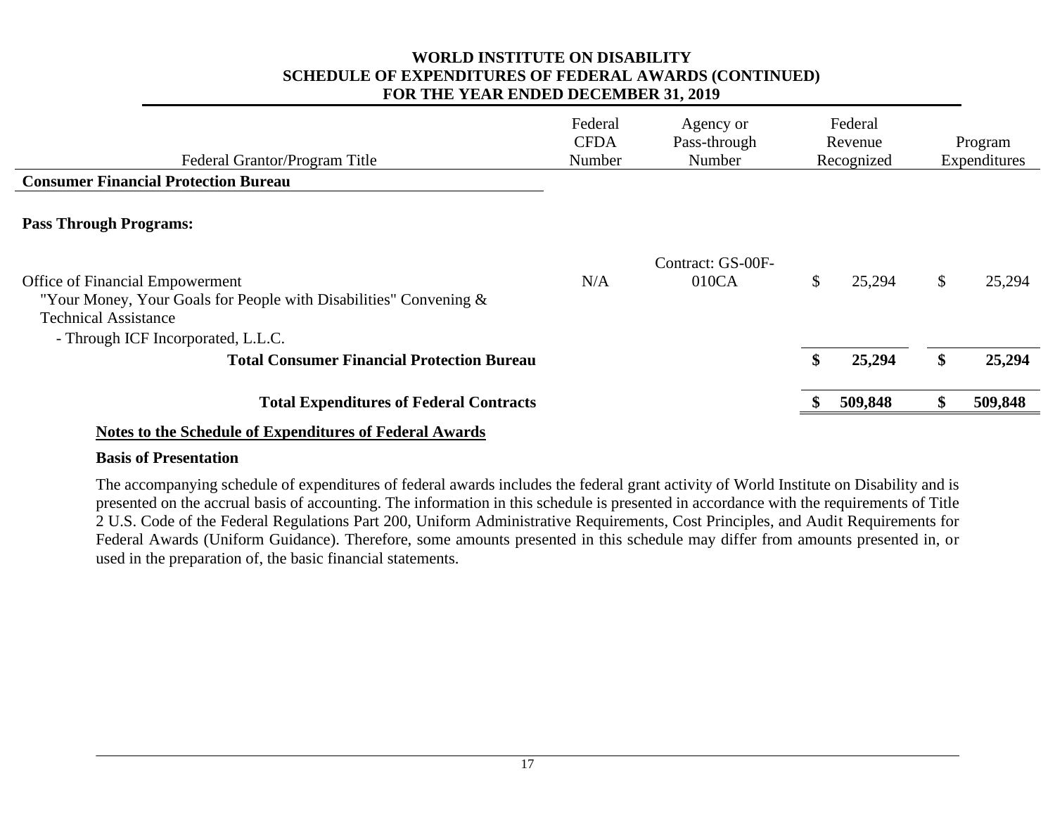#### **WORLD INSTITUTE ON DISABILITY SCHEDULE OF EXPENDITURES OF FEDERAL AWARDS (CONTINUED) FOR THE YEAR ENDED DECEMBER 31, 2019**

| Federal Grantor/Program Title                                                                    | Federal<br><b>CFDA</b><br>Number | Agency or<br>Pass-through<br>Number | Federal<br>Revenue<br>Recognized |         | Program<br>Expenditures |         |
|--------------------------------------------------------------------------------------------------|----------------------------------|-------------------------------------|----------------------------------|---------|-------------------------|---------|
| <b>Consumer Financial Protection Bureau</b>                                                      |                                  |                                     |                                  |         |                         |         |
| <b>Pass Through Programs:</b>                                                                    |                                  |                                     |                                  |         |                         |         |
| <b>Office of Financial Empowerment</b>                                                           | N/A                              | Contract: GS-00F-<br>010CA          | \$                               | 25,294  | \$                      | 25,294  |
| "Your Money, Your Goals for People with Disabilities" Convening &<br><b>Technical Assistance</b> |                                  |                                     |                                  |         |                         |         |
| - Through ICF Incorporated, L.L.C.                                                               |                                  |                                     |                                  |         |                         |         |
| <b>Total Consumer Financial Protection Bureau</b>                                                |                                  |                                     | \$                               | 25,294  | \$                      | 25,294  |
| <b>Total Expenditures of Federal Contracts</b>                                                   |                                  |                                     |                                  | 509,848 | \$                      | 509,848 |
|                                                                                                  |                                  |                                     |                                  |         |                         |         |

#### **Notes to the Schedule of Expenditures of Federal Awards**

#### **Basis of Presentation**

The accompanying schedule of expenditures of federal awards includes the federal grant activity of World Institute on Disability and is presented on the accrual basis of accounting. The information in this schedule is presented in accordance with the requirements of Title 2 U.S. Code of the Federal Regulations Part 200, Uniform Administrative Requirements, Cost Principles, and Audit Requirements for Federal Awards (Uniform Guidance). Therefore, some amounts presented in this schedule may differ from amounts presented in, or used in the preparation of, the basic financial statements.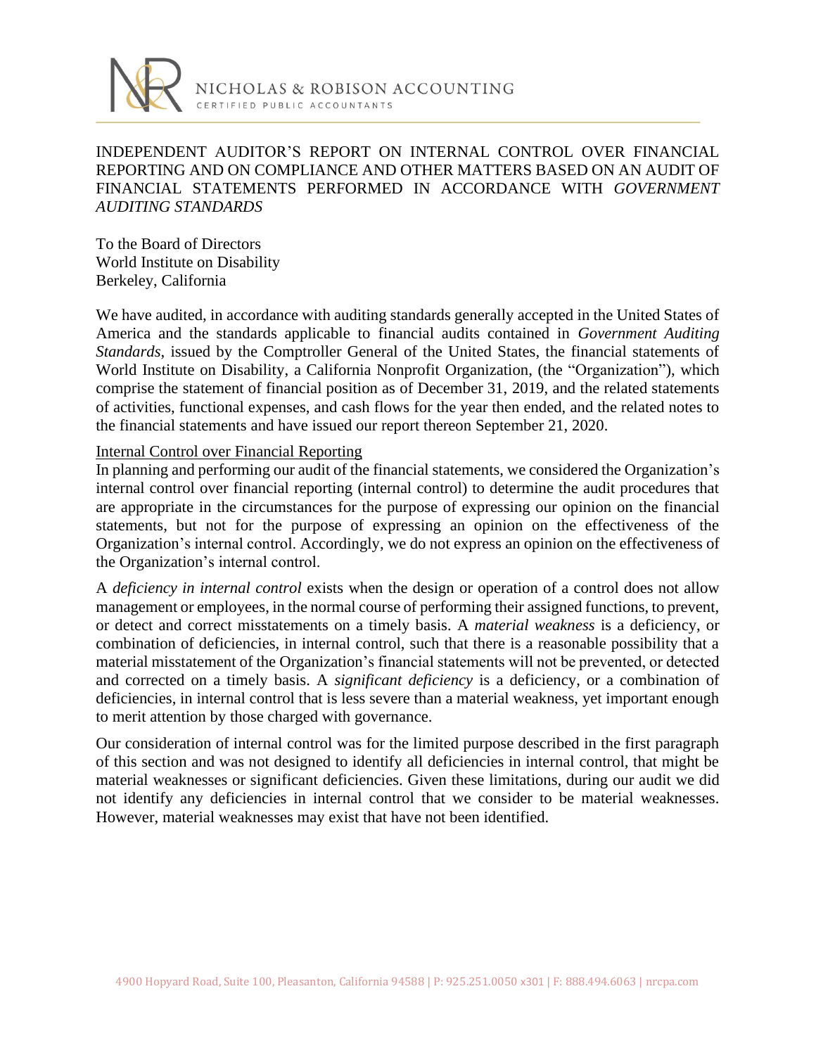

## INDEPENDENT AUDITOR'S REPORT ON INTERNAL CONTROL OVER FINANCIAL REPORTING AND ON COMPLIANCE AND OTHER MATTERS BASED ON AN AUDIT OF FINANCIAL STATEMENTS PERFORMED IN ACCORDANCE WITH *GOVERNMENT AUDITING STANDARDS*

To the Board of Directors World Institute on Disability Berkeley, California

We have audited, in accordance with auditing standards generally accepted in the United States of America and the standards applicable to financial audits contained in *Government Auditing Standards*, issued by the Comptroller General of the United States, the financial statements of World Institute on Disability, a California Nonprofit Organization, (the "Organization"), which comprise the statement of financial position as of December 31, 2019, and the related statements of activities, functional expenses, and cash flows for the year then ended, and the related notes to the financial statements and have issued our report thereon September 21, 2020.

#### Internal Control over Financial Reporting

In planning and performing our audit of the financial statements, we considered the Organization's internal control over financial reporting (internal control) to determine the audit procedures that are appropriate in the circumstances for the purpose of expressing our opinion on the financial statements, but not for the purpose of expressing an opinion on the effectiveness of the Organization's internal control. Accordingly, we do not express an opinion on the effectiveness of the Organization's internal control.

A *deficiency in internal control* exists when the design or operation of a control does not allow management or employees, in the normal course of performing their assigned functions, to prevent, or detect and correct misstatements on a timely basis. A *material weakness* is a deficiency, or combination of deficiencies, in internal control, such that there is a reasonable possibility that a material misstatement of the Organization's financial statements will not be prevented, or detected and corrected on a timely basis. A *significant deficiency* is a deficiency, or a combination of deficiencies, in internal control that is less severe than a material weakness, yet important enough to merit attention by those charged with governance.

Our consideration of internal control was for the limited purpose described in the first paragraph of this section and was not designed to identify all deficiencies in internal control, that might be material weaknesses or significant deficiencies. Given these limitations, during our audit we did not identify any deficiencies in internal control that we consider to be material weaknesses. However, material weaknesses may exist that have not been identified.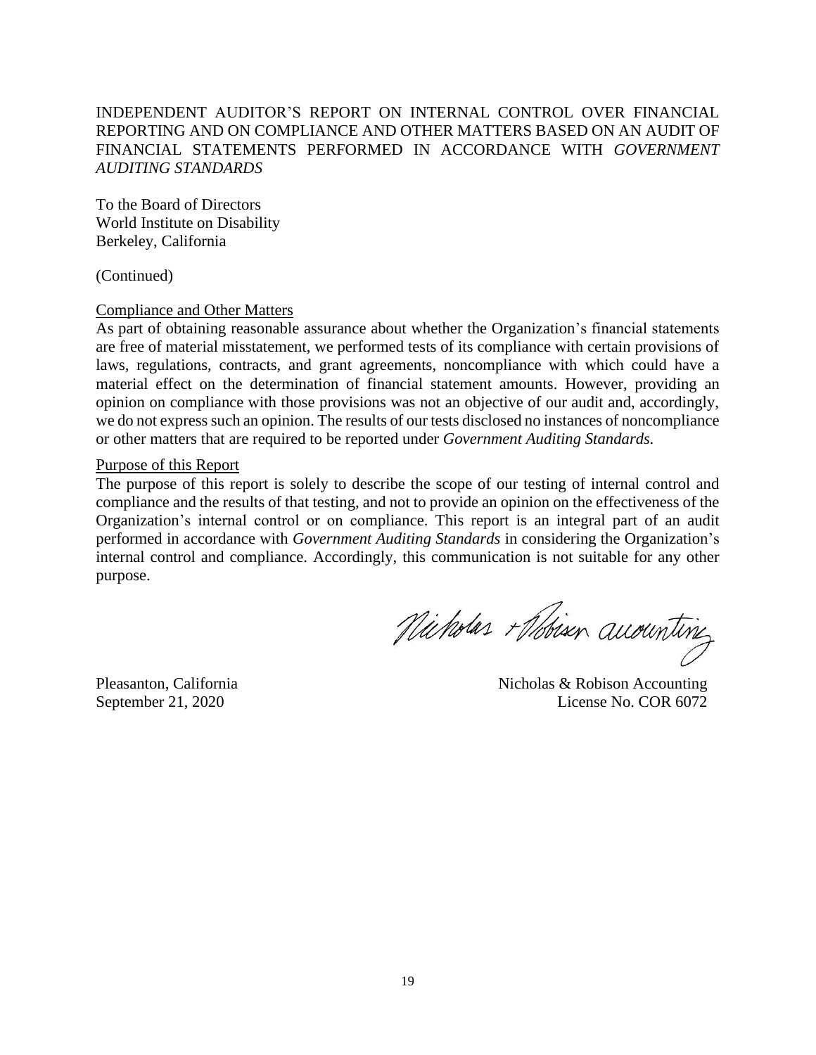#### INDEPENDENT AUDITOR'S REPORT ON INTERNAL CONTROL OVER FINANCIAL REPORTING AND ON COMPLIANCE AND OTHER MATTERS BASED ON AN AUDIT OF FINANCIAL STATEMENTS PERFORMED IN ACCORDANCE WITH *GOVERNMENT AUDITING STANDARDS*

To the Board of Directors World Institute on Disability Berkeley, California

(Continued)

#### Compliance and Other Matters

As part of obtaining reasonable assurance about whether the Organization's financial statements are free of material misstatement, we performed tests of its compliance with certain provisions of laws, regulations, contracts, and grant agreements, noncompliance with which could have a material effect on the determination of financial statement amounts. However, providing an opinion on compliance with those provisions was not an objective of our audit and, accordingly, we do not express such an opinion. The results of our tests disclosed no instances of noncompliance or other matters that are required to be reported under *Government Auditing Standards.*

#### Purpose of this Report

The purpose of this report is solely to describe the scope of our testing of internal control and compliance and the results of that testing, and not to provide an opinion on the effectiveness of the Organization's internal control or on compliance. This report is an integral part of an audit performed in accordance with *Government Auditing Standards* in considering the Organization's internal control and compliance. Accordingly, this communication is not suitable for any other purpose.

Nicholas + Nobiser auounting

Pleasanton, California **Nicholas & Robison Accounting** September 21, 2020 License No. COR 6072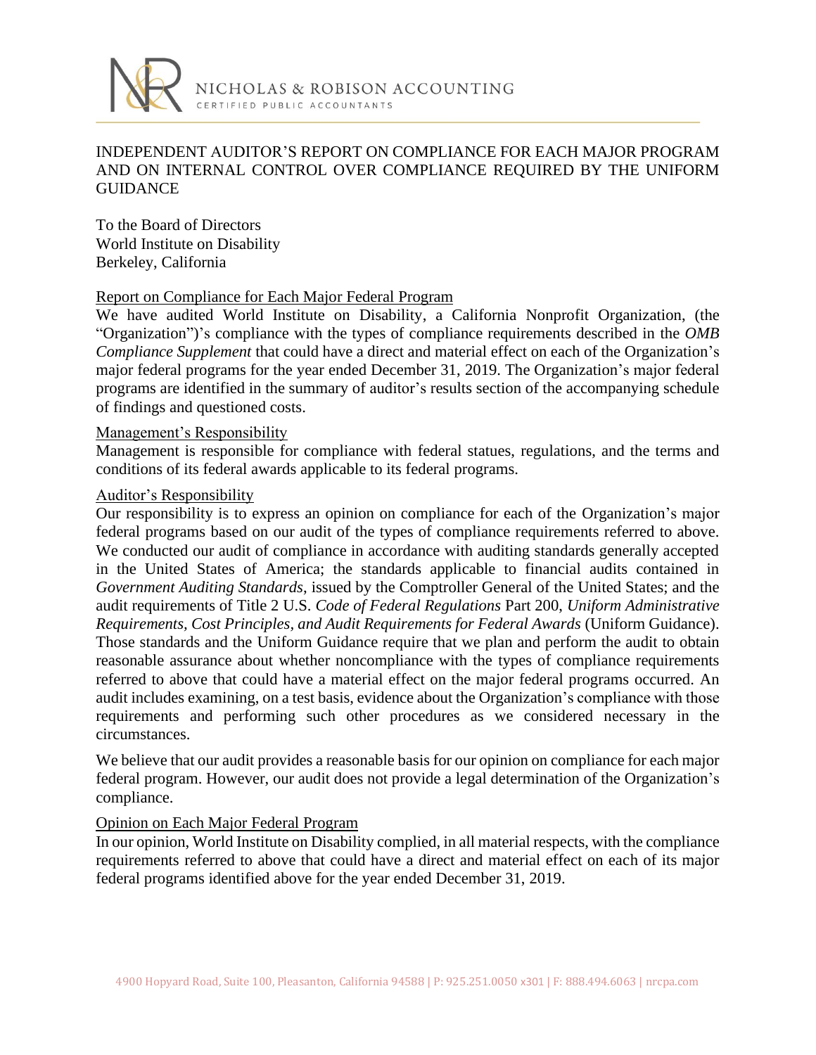

# INDEPENDENT AUDITOR'S REPORT ON COMPLIANCE FOR EACH MAJOR PROGRAM AND ON INTERNAL CONTROL OVER COMPLIANCE REQUIRED BY THE UNIFORM **GUIDANCE**

To the Board of Directors World Institute on Disability Berkeley, California

#### Report on Compliance for Each Major Federal Program

We have audited World Institute on Disability, a California Nonprofit Organization, (the "Organization")'s compliance with the types of compliance requirements described in the *OMB Compliance Supplement* that could have a direct and material effect on each of the Organization's major federal programs for the year ended December 31, 2019. The Organization's major federal programs are identified in the summary of auditor's results section of the accompanying schedule of findings and questioned costs.

#### Management's Responsibility

Management is responsible for compliance with federal statues, regulations, and the terms and conditions of its federal awards applicable to its federal programs.

#### Auditor's Responsibility

Our responsibility is to express an opinion on compliance for each of the Organization's major federal programs based on our audit of the types of compliance requirements referred to above. We conducted our audit of compliance in accordance with auditing standards generally accepted in the United States of America; the standards applicable to financial audits contained in *Government Auditing Standards*, issued by the Comptroller General of the United States; and the audit requirements of Title 2 U.S. *Code of Federal Regulations* Part 200, *Uniform Administrative Requirements, Cost Principles, and Audit Requirements for Federal Awards* (Uniform Guidance). Those standards and the Uniform Guidance require that we plan and perform the audit to obtain reasonable assurance about whether noncompliance with the types of compliance requirements referred to above that could have a material effect on the major federal programs occurred. An audit includes examining, on a test basis, evidence about the Organization's compliance with those requirements and performing such other procedures as we considered necessary in the circumstances.

We believe that our audit provides a reasonable basis for our opinion on compliance for each major federal program. However, our audit does not provide a legal determination of the Organization's compliance.

#### Opinion on Each Major Federal Program

In our opinion, World Institute on Disability complied, in all material respects, with the compliance requirements referred to above that could have a direct and material effect on each of its major federal programs identified above for the year ended December 31, 2019.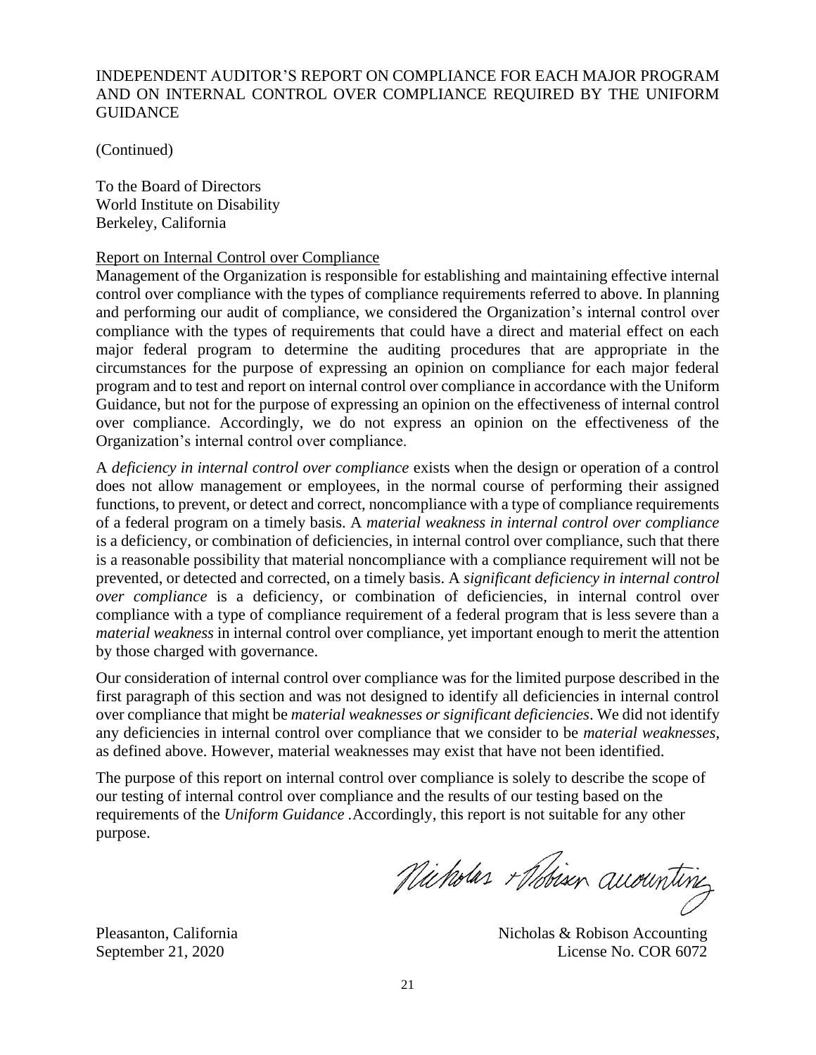#### INDEPENDENT AUDITOR'S REPORT ON COMPLIANCE FOR EACH MAJOR PROGRAM AND ON INTERNAL CONTROL OVER COMPLIANCE REQUIRED BY THE UNIFORM **GUIDANCE**

(Continued)

To the Board of Directors World Institute on Disability Berkeley, California

#### Report on Internal Control over Compliance

Management of the Organization is responsible for establishing and maintaining effective internal control over compliance with the types of compliance requirements referred to above. In planning and performing our audit of compliance, we considered the Organization's internal control over compliance with the types of requirements that could have a direct and material effect on each major federal program to determine the auditing procedures that are appropriate in the circumstances for the purpose of expressing an opinion on compliance for each major federal program and to test and report on internal control over compliance in accordance with the Uniform Guidance, but not for the purpose of expressing an opinion on the effectiveness of internal control over compliance. Accordingly, we do not express an opinion on the effectiveness of the Organization's internal control over compliance.

A *deficiency in internal control over compliance* exists when the design or operation of a control does not allow management or employees, in the normal course of performing their assigned functions, to prevent, or detect and correct, noncompliance with a type of compliance requirements of a federal program on a timely basis. A *material weakness in internal control over compliance* is a deficiency, or combination of deficiencies, in internal control over compliance, such that there is a reasonable possibility that material noncompliance with a compliance requirement will not be prevented, or detected and corrected, on a timely basis. A *significant deficiency in internal control over compliance* is a deficiency, or combination of deficiencies, in internal control over compliance with a type of compliance requirement of a federal program that is less severe than a *material weakness* in internal control over compliance, yet important enough to merit the attention by those charged with governance.

Our consideration of internal control over compliance was for the limited purpose described in the first paragraph of this section and was not designed to identify all deficiencies in internal control over compliance that might be *material weaknesses or significant deficiencies*. We did not identify any deficiencies in internal control over compliance that we consider to be *material weaknesses*, as defined above. However, material weaknesses may exist that have not been identified.

The purpose of this report on internal control over compliance is solely to describe the scope of our testing of internal control over compliance and the results of our testing based on the requirements of the *Uniform Guidance .*Accordingly, this report is not suitable for any other purpose.

Nicholas + Nobiser auounting

Pleasanton, California (and a second of the Nicholas & Robison Accounting) September 21, 2020 License No. COR 6072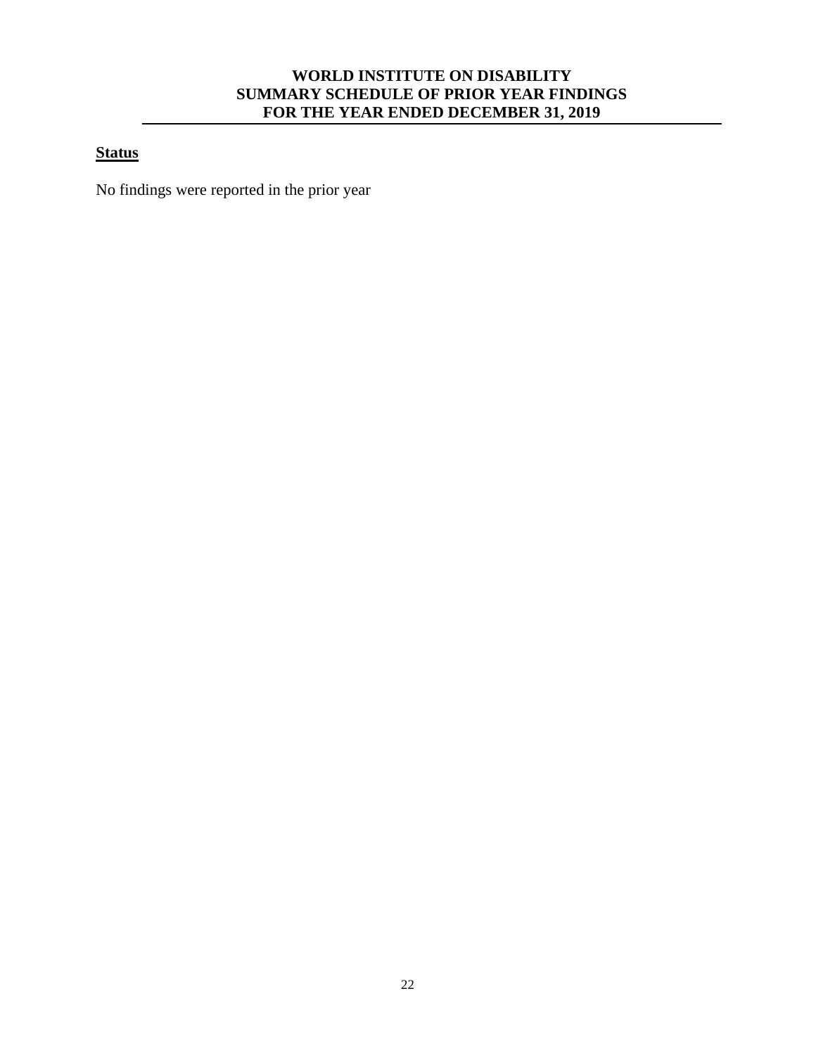# **WORLD INSTITUTE ON DISABILITY SUMMARY SCHEDULE OF PRIOR YEAR FINDINGS FOR THE YEAR ENDED DECEMBER 31, 2019**

# **Status**

No findings were reported in the prior year